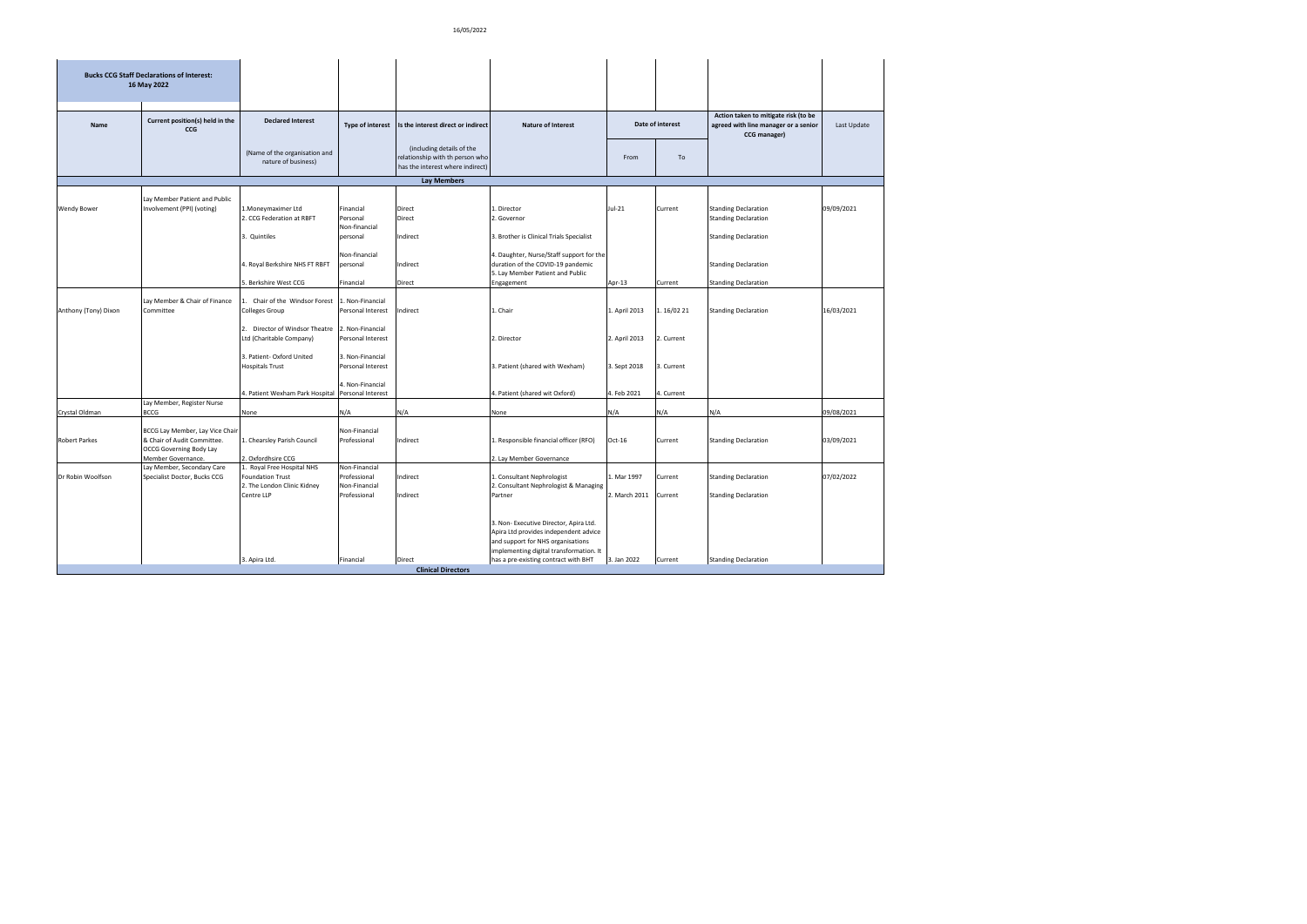|                      | <b>Bucks CCG Staff Declarations of Interest:</b><br>16 May 2022                                                        |                                                                                                    |                                                                |                                                                                                  |                                                                                                                                                                                                         |                              |                    |                                                                                              |             |
|----------------------|------------------------------------------------------------------------------------------------------------------------|----------------------------------------------------------------------------------------------------|----------------------------------------------------------------|--------------------------------------------------------------------------------------------------|---------------------------------------------------------------------------------------------------------------------------------------------------------------------------------------------------------|------------------------------|--------------------|----------------------------------------------------------------------------------------------|-------------|
|                      |                                                                                                                        |                                                                                                    |                                                                |                                                                                                  |                                                                                                                                                                                                         |                              |                    |                                                                                              |             |
| <b>Name</b>          | Current position(s) held in the<br><b>CCG</b>                                                                          | <b>Declared Interest</b>                                                                           | <b>Type of interest</b>                                        | Is the interest direct or indirect                                                               | <b>Nature of Interest</b>                                                                                                                                                                               |                              | Date of interest   | Action taken to mitigate risk (to be<br>agreed with line manager or a senior<br>CCG manager) | Last Update |
|                      |                                                                                                                        | (Name of the organisation and<br>nature of business)                                               |                                                                | (including details of the<br>relationship with th person who<br>has the interest where indirect) |                                                                                                                                                                                                         | From                         | To                 |                                                                                              |             |
|                      |                                                                                                                        |                                                                                                    |                                                                | <b>Lay Members</b>                                                                               |                                                                                                                                                                                                         |                              |                    |                                                                                              |             |
| <b>Wendy Bower</b>   | Lay Member Patient and Public<br>Involvement (PPI) (voting)                                                            | L.Moneymaximer Ltd<br>2. CCG Federation at RBFT                                                    | Financial<br>Personal<br>Non-financial                         | Direct<br>Direct                                                                                 | Director<br>. Governor                                                                                                                                                                                  | Jul-21                       | Current            | <b>Standing Declaration</b><br><b>Standing Declaration</b>                                   | 09/09/2021  |
|                      |                                                                                                                        | 3. Quintiles                                                                                       | personal                                                       | Indirect                                                                                         | 3. Brother is Clinical Trials Specialist                                                                                                                                                                |                              |                    | <b>Standing Declaration</b>                                                                  |             |
|                      |                                                                                                                        | 4. Royal Berkshire NHS FT RBFT                                                                     | Non-financial<br>personal                                      | Indirect                                                                                         | 4. Daughter, Nurse/Staff support for the<br>duration of the COVID-19 pandemic<br>5. Lay Member Patient and Public                                                                                       |                              |                    | <b>Standing Declaration</b>                                                                  |             |
|                      |                                                                                                                        | 5. Berkshire West CCG                                                                              | Financial                                                      | Direct                                                                                           | Engagement                                                                                                                                                                                              | Apr-13                       | Current            | <b>Standing Declaration</b>                                                                  |             |
| Anthony (Tony) Dixon | Lay Member & Chair of Finance<br>Committee                                                                             | 1. Chair of the Windsor Forest<br>Colleges Group                                                   | 1. Non-Financial<br>Personal Interest                          | Indirect                                                                                         | . Chair                                                                                                                                                                                                 | 1. April 2013                | 1.16/02 21         | <b>Standing Declaration</b>                                                                  | 16/03/2021  |
|                      |                                                                                                                        | 2. Director of Windsor Theatre<br>Ltd (Charitable Company)                                         | 2. Non-Financial<br>Personal Interest                          |                                                                                                  | 2. Director                                                                                                                                                                                             | 2. April 2013                | 2. Current         |                                                                                              |             |
|                      |                                                                                                                        | 3. Patient- Oxford United<br><b>Hospitals Trust</b>                                                | 3. Non-Financial<br>Personal Interest                          |                                                                                                  | 3. Patient (shared with Wexham)                                                                                                                                                                         | 3. Sept 2018                 | 3. Current         |                                                                                              |             |
|                      | Lay Member, Register Nurse                                                                                             | 4. Patient Wexham Park Hospital                                                                    | 4. Non-Financial<br>Personal Interest                          |                                                                                                  | . Patient (shared wit Oxford)                                                                                                                                                                           | 4. Feb 2021                  | 4. Current         |                                                                                              |             |
| Crystal Oldman       | BCCG                                                                                                                   | None                                                                                               | N/A                                                            | N/A                                                                                              | None                                                                                                                                                                                                    | N/A                          | N/A                | N/A                                                                                          | 09/08/2021  |
| <b>Robert Parkes</b> | BCCG Lay Member, Lay Vice Chair<br>& Chair of Audit Committee.<br><b>OCCG Governing Body Lay</b><br>Member Governance. | . Chearsley Parish Council<br>. Oxfordhsire CCG                                                    | Non-Financial<br>Professional                                  | Indirect                                                                                         | Responsible financial officer (RFO)<br>2. Lay Member Governance                                                                                                                                         | Oct-16                       | Current            | <b>Standing Declaration</b>                                                                  | 03/09/2021  |
| Dr Robin Woolfson    | Lay Member, Secondary Care<br>Specialist Doctor, Bucks CCG                                                             | 1. Royal Free Hospital NHS<br><b>Foundation Trust</b><br>2. The London Clinic Kidney<br>Centre LLP | Non-Financial<br>Professional<br>Non-Financial<br>Professional | Indirect<br>Indirect                                                                             | . Consultant Nephrologist<br>. Consultant Nephrologist & Managing<br>Partner                                                                                                                            | 1. Mar 1997<br>2. March 2011 | Current<br>Current | <b>Standing Declaration</b><br><b>Standing Declaration</b>                                   | 07/02/2022  |
|                      |                                                                                                                        | 3. Apira Ltd.                                                                                      | Financial                                                      | Direct                                                                                           | 3. Non- Executive Director, Apira Ltd.<br>Apira Ltd provides independent advice<br>and support for NHS organisations<br>implementing digital transformation. It<br>has a pre-existing contract with BHT | 3. Jan 2022                  | Current            | <b>Standing Declaration</b>                                                                  |             |
|                      |                                                                                                                        |                                                                                                    |                                                                | <b>Clinical Directors</b>                                                                        |                                                                                                                                                                                                         |                              |                    |                                                                                              |             |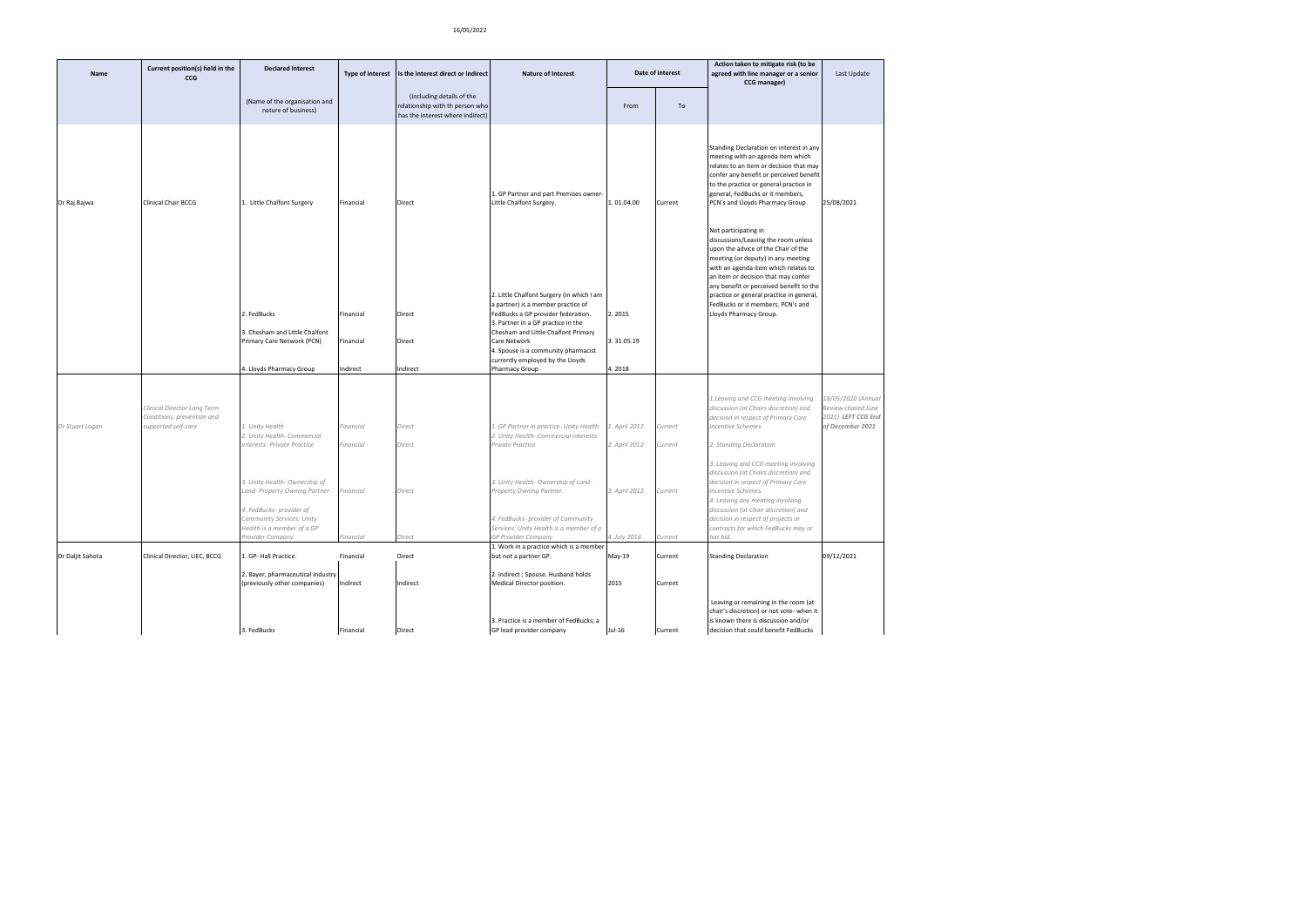| Name             | Current position(s) held in the<br>CCG                                           | <b>Declared Interest</b>                                                                                |                       | Type of interest Is the interest direct or indirect                                              | <b>Nature of Interest</b>                                                                            |               | Date of interest | Action taken to mitigate risk (to be<br>agreed with line manager or a senior<br>CCG manager)                                                                                                                                                                                                                                                        | Last Update                                                                       |
|------------------|----------------------------------------------------------------------------------|---------------------------------------------------------------------------------------------------------|-----------------------|--------------------------------------------------------------------------------------------------|------------------------------------------------------------------------------------------------------|---------------|------------------|-----------------------------------------------------------------------------------------------------------------------------------------------------------------------------------------------------------------------------------------------------------------------------------------------------------------------------------------------------|-----------------------------------------------------------------------------------|
|                  |                                                                                  | (Name of the organisation and<br>nature of business)                                                    |                       | (including details of the<br>relationship with th person who<br>has the interest where indirect) |                                                                                                      | From          | To               |                                                                                                                                                                                                                                                                                                                                                     |                                                                                   |
| Dr Raj Bajwa     | Clinical Chair BCCG                                                              | 1. Little Chalfont Surgery                                                                              | Financial             | <b>Direct</b>                                                                                    | 1. GP Partner and part Premises owner-<br>Little Chalfont Surgery.                                   | 1.01.04.00    | Current          | Standing Declaration on interest in any<br>meeting with an agenda item which<br>relates to an item or decision that may<br>confer any benefit or perceived benefit<br>to the practice or general practice in<br>general, FedBucks or it members,<br>PCN's and Lloyds Pharmacy Group.                                                                | 25/08/2021                                                                        |
|                  |                                                                                  |                                                                                                         |                       |                                                                                                  | 2. Little Chalfont Surgery (in which I am<br>a partner) is a member practice of                      |               |                  | Not participating in<br>discussions/Leaving the room unless<br>upon the advice of the Chair of the<br>meeting (or deputy) in any meeting<br>with an agenda item which relates to<br>an item or decision that may confer<br>any benefit or perceived benefit to the<br>practice or general practice in general,<br>FedBucks or it members, PCN's and |                                                                                   |
|                  |                                                                                  | 2. FedBucks                                                                                             | Financial             | <b>Direct</b>                                                                                    | FedBucks a GP provider federation.                                                                   | 2.2015        |                  | Lloyds Pharmacy Group.                                                                                                                                                                                                                                                                                                                              |                                                                                   |
|                  |                                                                                  | 3. Chesham and Little Chalfont                                                                          |                       |                                                                                                  | 3. Partner in a GP practice in the<br>Chesham and Little Chalfont Primary                            |               |                  |                                                                                                                                                                                                                                                                                                                                                     |                                                                                   |
|                  |                                                                                  | Primary Care Network (PCN)                                                                              | Financial             | <b>Direct</b>                                                                                    | Care Network<br>4. Spouse is a community pharmacist                                                  | 3.31.05.19    |                  |                                                                                                                                                                                                                                                                                                                                                     |                                                                                   |
|                  |                                                                                  | 4. Lloyds Pharmacy Group                                                                                | Indirect              | Indirect                                                                                         | currently employed by the Lloyds<br>Pharmacy Group                                                   | 4.2018        |                  |                                                                                                                                                                                                                                                                                                                                                     |                                                                                   |
|                  |                                                                                  |                                                                                                         |                       |                                                                                                  |                                                                                                      |               |                  |                                                                                                                                                                                                                                                                                                                                                     |                                                                                   |
| Dr Stuart Logan  | Clinical Director Long Term<br>Conditions, prevention and<br>supported self-care | 1. Unity Health                                                                                         | Financial             | Direct                                                                                           | 1. GP Partner in practice- Unity Health                                                              | 1. April 2012 | Current          | 1. Leaving and CCG meeting involving<br>discussion (at Chairs discretion) and<br>decision in respect of Primary Care<br>Incentive Schemes.                                                                                                                                                                                                          | 8/05/2020 (Annual<br>Review chased June<br>2021) LEFT CCG End<br>of December 2021 |
|                  |                                                                                  | 2. Unity Health- Commercial<br>interests- Private Practice                                              | Financial             | Direct                                                                                           | 2. Unity Health- Commercial interests-<br>Private Practice                                           | 2. April 2012 | Current          | 2. Standing Declaration                                                                                                                                                                                                                                                                                                                             |                                                                                   |
|                  |                                                                                  | 3. Unity Health- Ownership of<br>Land- Property Owning Partner.                                         | inancial <sup>:</sup> | Direct                                                                                           | 3. Unity Health- Ownership of Land-<br>Property Owning Partner.                                      | 3. April 2012 | Current          | 3. Leaving and CCG meeting involving<br>discussion (at Chairs discretion) and<br>decision in respect of Primary Care<br>Incentive Schemes.<br>4. Leaving any meeting involving                                                                                                                                                                      |                                                                                   |
|                  |                                                                                  | 4. FedBucks- provider of<br>Community Services: Unity<br>Health is a member of a GP<br>Provider Company | Financial             | Direct                                                                                           | 4. FedBucks- provider of Community<br>Services: Unity Health is a member of a<br>GP Provider Company | 4. July 2016  | Current          | discussion (at Chair discretion) and<br>decision in respect of projects or<br>contracts for which FedBucks may or<br>has bid.                                                                                                                                                                                                                       |                                                                                   |
| Dr Daljit Sahota | Clinical Director, UEC, BCCG                                                     | 1. GP- Hall Practice.                                                                                   | Financial             | Direct                                                                                           | 1. Work in a practice which is a member<br>but not a partner GP.                                     | May-19        | Current          | <b>Standing Declaration</b>                                                                                                                                                                                                                                                                                                                         | 09/12/2021                                                                        |
|                  |                                                                                  | 2. Bayer, pharmaceutical industry<br>(previously other companies)                                       | Indirect              | Indirect                                                                                         | 2. Indirect ; Spouse. Husband holds<br>Medical Director position.                                    | 2015          | Current          |                                                                                                                                                                                                                                                                                                                                                     |                                                                                   |
|                  |                                                                                  | 3. FedBucks                                                                                             | Financial             | Direct                                                                                           | 3. Practice is a member of FedBucks; a<br>GP lead provider company                                   | Jul-16        | Current          | Leaving or remaining in the room (at<br>chair's discretion) or not vote- when it<br>is known there is discussion and/or<br>decision that could benefit FedBucks                                                                                                                                                                                     |                                                                                   |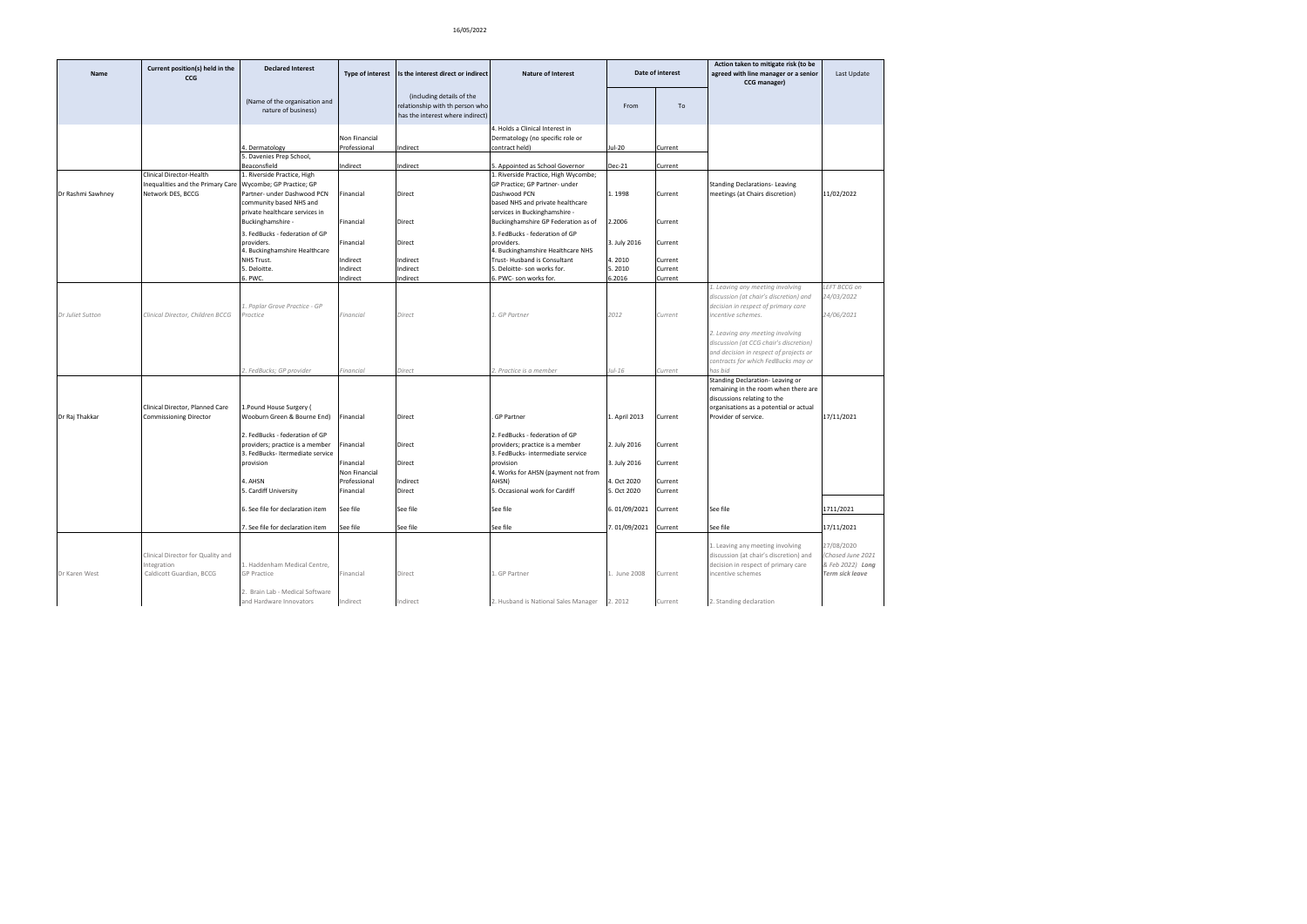| Name              | Current position(s) held in the<br>ccG                                                                      | <b>Declared Interest</b>                                                                             | <b>Type of interest</b>                                 | Is the interest direct or indirect                                                               | <b>Nature of Interest</b>                                                                                                  |                                            | Date of interest              | Action taken to mitigate risk (to be<br>agreed with line manager or a senior<br>CCG manager)                                                                           | Last Update                                                                  |
|-------------------|-------------------------------------------------------------------------------------------------------------|------------------------------------------------------------------------------------------------------|---------------------------------------------------------|--------------------------------------------------------------------------------------------------|----------------------------------------------------------------------------------------------------------------------------|--------------------------------------------|-------------------------------|------------------------------------------------------------------------------------------------------------------------------------------------------------------------|------------------------------------------------------------------------------|
|                   |                                                                                                             | (Name of the organisation and<br>nature of business)                                                 |                                                         | (including details of the<br>relationship with th person who<br>has the interest where indirect) |                                                                                                                            | From                                       | To                            |                                                                                                                                                                        |                                                                              |
|                   |                                                                                                             | 4. Dermatology                                                                                       | Non Financial<br>Professional                           | Indirect                                                                                         | 4. Holds a Clinical Interest in<br>Dermatology (no specific role or<br>contract held)                                      | Jul-20                                     | Current                       |                                                                                                                                                                        |                                                                              |
|                   |                                                                                                             | 5. Davenies Prep School,<br>Beaconsfield                                                             | Indirect                                                | Indirect                                                                                         | 5. Appointed as School Governor                                                                                            | Dec-21                                     | Current                       |                                                                                                                                                                        |                                                                              |
| Dr Rashmi Sawhney | Clinical Director-Health<br>Inequalities and the Primary Care Wycombe; GP Practice; GP<br>Network DES, BCCG | 1. Riverside Practice, High<br>Partner- under Dashwood PCN<br>community based NHS and                | Financial                                               | Direct                                                                                           | 1. Riverside Practice, High Wycombe;<br>GP Practice; GP Partner- under<br>Dashwood PCN<br>based NHS and private healthcare | 1.1998                                     | Current                       | <b>Standing Declarations-Leaving</b><br>meetings (at Chairs discretion)                                                                                                | 11/02/2022                                                                   |
|                   |                                                                                                             | private healthcare services in<br>Buckinghamshire -                                                  | Financial                                               | Direct                                                                                           | services in Buckinghamshire -<br>Buckinghamshire GP Federation as of                                                       | 2.2006                                     | Current                       |                                                                                                                                                                        |                                                                              |
|                   |                                                                                                             | 3. FedBucks - federation of GP<br>providers.<br>4. Buckinghamshire Healthcare                        | Financial                                               | Direct                                                                                           | 3. FedBucks - federation of GP<br>providers.<br>4. Buckinghamshire Healthcare NHS                                          | 3. July 2016                               | Current                       |                                                                                                                                                                        |                                                                              |
|                   |                                                                                                             | NHS Trust.<br>5. Deloitte.<br>6. PWC.                                                                | Indirect<br>Indirect<br>Indirect                        | Indirect<br>Indirect<br>Indirect                                                                 | Trust-Husband is Consultant<br>5. Deloitte- son works for.<br>6. PWC- son works for.                                       | 4.2010<br>5.2010<br>6.2016                 | Current<br>Current<br>Current |                                                                                                                                                                        |                                                                              |
|                   |                                                                                                             |                                                                                                      |                                                         |                                                                                                  |                                                                                                                            |                                            |                               | 1. Leaving any meeting involving                                                                                                                                       | LEFT BCCG on<br>24/03/2022                                                   |
|                   |                                                                                                             | 1. Poplar Grove Practice - GP                                                                        |                                                         |                                                                                                  |                                                                                                                            |                                            |                               | discussion (at chair's discretion) and<br>decision in respect of primary care                                                                                          |                                                                              |
| Dr Juliet Sutton  | Clinical Director, Children BCCG                                                                            | Practice                                                                                             | Financial                                               | Direct                                                                                           | .GP Partner                                                                                                                | 2012                                       | Current                       | incentive schemes.                                                                                                                                                     | 24/06/2021                                                                   |
|                   |                                                                                                             | . FedBucks; GP provider                                                                              | Financial                                               | Direct                                                                                           | . Practice is a member                                                                                                     | $ul-16$                                    | Current                       | 2. Leaving any meeting involving<br>discussion (at CCG chair's discretion)<br>and decision in respect of projects or<br>contracts for which FedBucks may or<br>has bid |                                                                              |
|                   |                                                                                                             |                                                                                                      |                                                         |                                                                                                  |                                                                                                                            |                                            |                               | Standing Declaration-Leaving or<br>remaining in the room when there are<br>discussions relating to the                                                                 |                                                                              |
| Dr Raj Thakkar    | Clinical Director, Planned Care<br><b>Commissioning Director</b>                                            | 1. Pound House Surgery (<br>Wooburn Green & Bourne End)                                              | Financial                                               | Direct                                                                                           | <b>GP Partner</b>                                                                                                          | 1. April 2013                              | Current                       | organisations as a potential or actual<br>Provider of service.                                                                                                         | 17/11/2021                                                                   |
|                   |                                                                                                             | 2. FedBucks - federation of GP<br>providers; practice is a member<br>3. FedBucks-Itermediate service | Financial                                               | Direct                                                                                           | 2. FedBucks - federation of GP<br>providers; practice is a member<br>3. FedBucks- intermediate service                     | 2. July 2016                               | Current                       |                                                                                                                                                                        |                                                                              |
|                   |                                                                                                             | provision<br>4. AHSN<br>5. Cardiff University                                                        | Financial<br>Non Financial<br>Professional<br>Financial | Direct<br>Indirect<br>Direct                                                                     | provision<br>4. Works for AHSN (payment not from<br>AHSN)<br>5. Occasional work for Cardiff                                | 3. July 2016<br>4. Oct 2020<br>5. Oct 2020 | Current<br>Current<br>Current |                                                                                                                                                                        |                                                                              |
|                   |                                                                                                             | 6. See file for declaration item                                                                     | See file                                                | See file                                                                                         | See file                                                                                                                   | 6.01/09/2021                               | Current                       | See file                                                                                                                                                               | 1711/2021                                                                    |
|                   |                                                                                                             | 7. See file for declaration item                                                                     | See file                                                | See file                                                                                         | See file                                                                                                                   | 7.01/09/2021                               | Current                       | See file                                                                                                                                                               | 17/11/2021                                                                   |
| Dr Karen West     | Clinical Director for Quality and<br>Integration<br>Caldicott Guardian, BCCG                                | 1. Haddenham Medical Centre,<br><b>GP Practice</b>                                                   | Financial                                               | Direct                                                                                           | .GP Partner                                                                                                                | 1. June 2008                               | Current                       | 1. Leaving any meeting involving<br>discussion (at chair's discretion) and<br>decision in respect of primary care<br>incentive schemes                                 | 27/08/2020<br>Chased June 2021<br>& Feb 2022) Long<br><b>Term sick leave</b> |
|                   |                                                                                                             | 2. Brain Lab - Medical Software<br>and Hardware Innovators                                           | Indirect                                                | Indirect                                                                                         | 2. Husband is National Sales Manager                                                                                       | 2.2012                                     | Current                       | 2. Standing declaration                                                                                                                                                |                                                                              |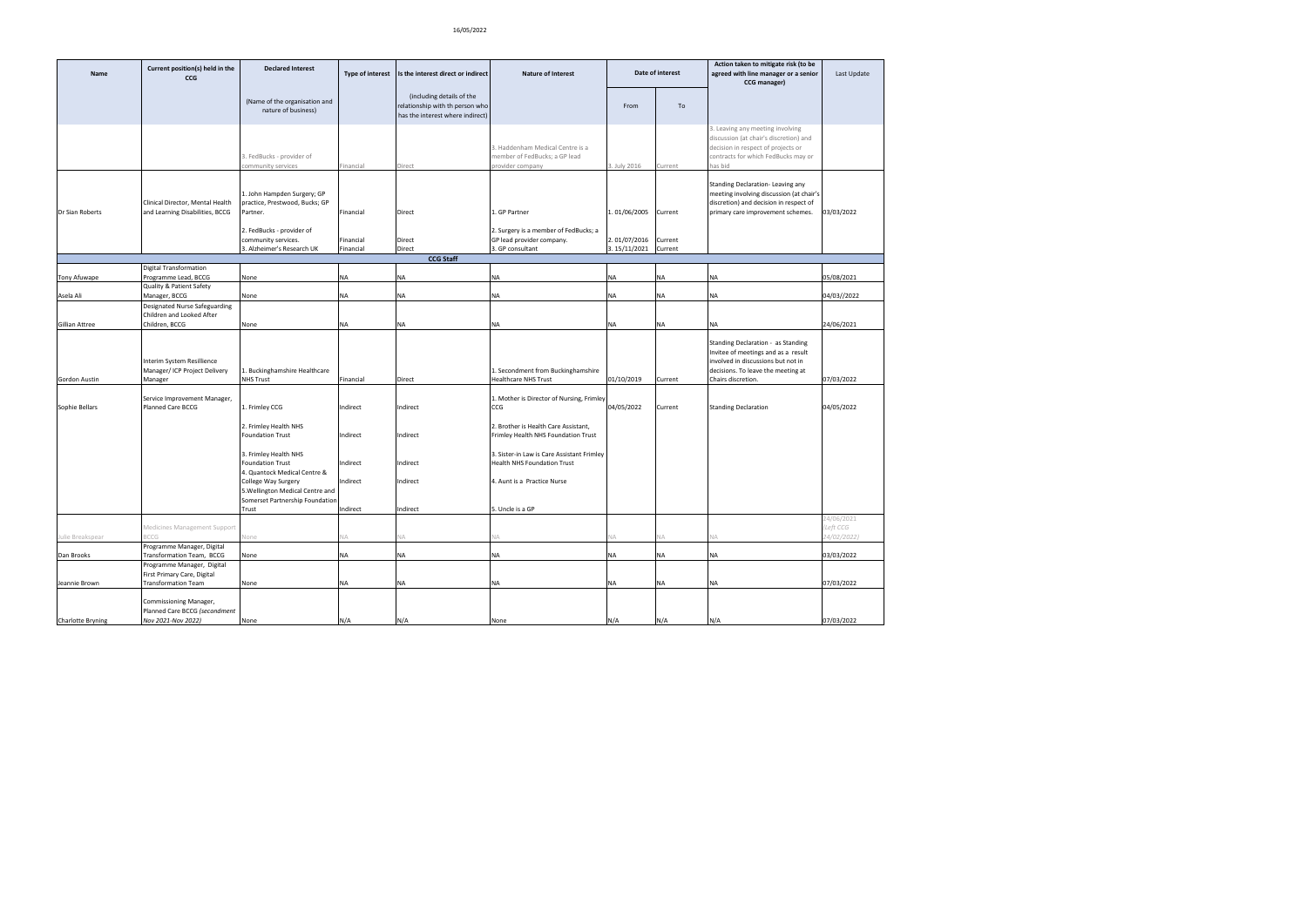| Name                  | Current position(s) held in the<br>CCG                                        | <b>Declared Interest</b>                                                                               | <b>Type of interest</b> | Is the interest direct or indirect                                                               | <b>Nature of Interest</b>                                                           |                              | Date of interest   | Action taken to mitigate risk (to be<br>agreed with line manager or a senior<br>CCG manager)                                                                       | Last Update            |
|-----------------------|-------------------------------------------------------------------------------|--------------------------------------------------------------------------------------------------------|-------------------------|--------------------------------------------------------------------------------------------------|-------------------------------------------------------------------------------------|------------------------------|--------------------|--------------------------------------------------------------------------------------------------------------------------------------------------------------------|------------------------|
|                       |                                                                               | (Name of the organisation and<br>nature of business)                                                   |                         | (including details of the<br>relationship with th person who<br>has the interest where indirect) |                                                                                     | From                         | To                 |                                                                                                                                                                    |                        |
|                       |                                                                               | 3. FedBucks - provider of<br>community services                                                        | Financial               | Direct                                                                                           | . Haddenham Medical Centre is a<br>member of FedBucks; a GP lead<br>rovider company | 3. July 2016                 | Current            | 3. Leaving any meeting involving<br>discussion (at chair's discretion) and<br>decision in respect of projects or<br>contracts for which FedBucks may or<br>has bid |                        |
| Dr Sian Roberts       | Clinical Director, Mental Health<br>and Learning Disabilities, BCCG           | 1. John Hampden Surgery; GP<br>practice, Prestwood, Bucks; GP<br>Partner.<br>2. FedBucks - provider of | Financial               | Direct                                                                                           | 1. GP Partner<br>2. Surgery is a member of FedBucks; a                              | 1.01/06/2005                 | Current            | Standing Declaration-Leaving any<br>meeting involving discussion (at chair's<br>discretion) and decision in respect of<br>primary care improvement schemes.        | 03/03/2022             |
|                       |                                                                               | community services.<br>3. Alzheimer's Research UK                                                      | Financial<br>Financial  | Direct<br>Direct                                                                                 | GP lead provider company.<br>3. GP consultant                                       | 2.01/07/2016<br>3.15/11/2021 | Current<br>Current |                                                                                                                                                                    |                        |
|                       |                                                                               |                                                                                                        |                         | <b>CCG Staff</b>                                                                                 |                                                                                     |                              |                    |                                                                                                                                                                    |                        |
|                       | <b>Digital Transformation</b>                                                 |                                                                                                        |                         |                                                                                                  |                                                                                     |                              |                    |                                                                                                                                                                    |                        |
| Tony Afuwape          | Programme Lead, BCCG<br>Quality & Patient Safety                              | None                                                                                                   | <b>NA</b>               | NA                                                                                               | NΑ                                                                                  | <b>NA</b>                    | <b>NA</b>          | <b>NA</b>                                                                                                                                                          | 05/08/2021             |
| Asela Ali             | Manager, BCCG                                                                 | None                                                                                                   | NA                      | <b>NA</b>                                                                                        | NA                                                                                  | <b>NA</b>                    | <b>NA</b>          | <b>NA</b>                                                                                                                                                          | 04/03//2022            |
|                       | Designated Nurse Safeguarding<br>Children and Looked After                    |                                                                                                        |                         |                                                                                                  |                                                                                     |                              |                    |                                                                                                                                                                    |                        |
| <b>Gillian Attree</b> | Children, BCCG                                                                | None                                                                                                   | <b>NA</b>               | <b>NA</b>                                                                                        | NA                                                                                  | <b>NA</b>                    | <b>NA</b>          | <b>NA</b>                                                                                                                                                          | 24/06/2021             |
|                       | Interim System Resillience<br>Manager/ ICP Project Delivery                   | 1. Buckinghamshire Healthcare                                                                          |                         |                                                                                                  | 1. Secondment from Buckinghamshire                                                  |                              |                    | Standing Declaration - as Standing<br>Invitee of meetings and as a result<br>involved in discussions but not in<br>decisions. To leave the meeting at              |                        |
| Gordon Austin         | Manager                                                                       | <b>NHS Trust</b>                                                                                       | Financial               | Direct                                                                                           | Healthcare NHS Trust                                                                | 01/10/2019                   | Current            | Chairs discretion.                                                                                                                                                 | 07/03/2022             |
| Sophie Bellars        | Service Improvement Manager,<br>Planned Care BCCG                             | 1. Frimley CCG                                                                                         | Indirect                | Indirect                                                                                         | 1. Mother is Director of Nursing, Frimley<br>CCG                                    | 04/05/2022                   | Current            | <b>Standing Declaration</b>                                                                                                                                        | 04/05/2022             |
|                       |                                                                               | 2. Frimley Health NHS<br><b>Foundation Trust</b>                                                       | Indirect                | Indirect                                                                                         | 2. Brother is Health Care Assistant,<br>Frimley Health NHS Foundation Trust         |                              |                    |                                                                                                                                                                    |                        |
|                       |                                                                               | 3. Frimley Health NHS<br><b>Foundation Trust</b><br>4. Quantock Medical Centre &                       | Indirect                | Indirect                                                                                         | 3. Sister-in Law is Care Assistant Frimley<br>Health NHS Foundation Trust           |                              |                    |                                                                                                                                                                    |                        |
|                       |                                                                               | College Way Surgery<br>5. Wellington Medical Centre and<br>Somerset Partnership Foundation             | Indirect                | Indirect                                                                                         | 4. Aunt is a Practice Nurse                                                         |                              |                    |                                                                                                                                                                    |                        |
|                       |                                                                               | Trust                                                                                                  | Indirect                | Indirect                                                                                         | 5. Uncle is a GP                                                                    |                              |                    |                                                                                                                                                                    |                        |
|                       | Medicines Management Support                                                  |                                                                                                        |                         |                                                                                                  |                                                                                     |                              |                    |                                                                                                                                                                    | 24/06/2021<br>Left CCG |
| Julie Breakspear      | CCG                                                                           | lone                                                                                                   |                         |                                                                                                  |                                                                                     |                              |                    |                                                                                                                                                                    | 4/02/2022)             |
| Dan Brooks            | Programme Manager, Digital<br>Transformation Team, BCCG                       | None                                                                                                   | <b>NA</b>               | <b>NA</b>                                                                                        | NA                                                                                  | <b>NA</b>                    | <b>NA</b>          | <b>NA</b>                                                                                                                                                          | 03/03/2022             |
|                       | Programme Manager, Digital                                                    |                                                                                                        |                         |                                                                                                  |                                                                                     |                              |                    |                                                                                                                                                                    |                        |
| Jeannie Brown         | First Primary Care, Digital<br><b>Transformation Team</b>                     | None                                                                                                   | NA                      | <b>NA</b>                                                                                        | NA                                                                                  | NA                           | NA                 | <b>NA</b>                                                                                                                                                          | 07/03/2022             |
|                       |                                                                               |                                                                                                        |                         |                                                                                                  |                                                                                     |                              |                    |                                                                                                                                                                    |                        |
| Charlotte Bryning     | Commissioning Manager,<br>Planned Care BCCG (secondment<br>Nov 2021-Nov 2022) | None                                                                                                   | N/A                     | N/A                                                                                              | None                                                                                | N/A                          | N/A                | N/A                                                                                                                                                                | 07/03/2022             |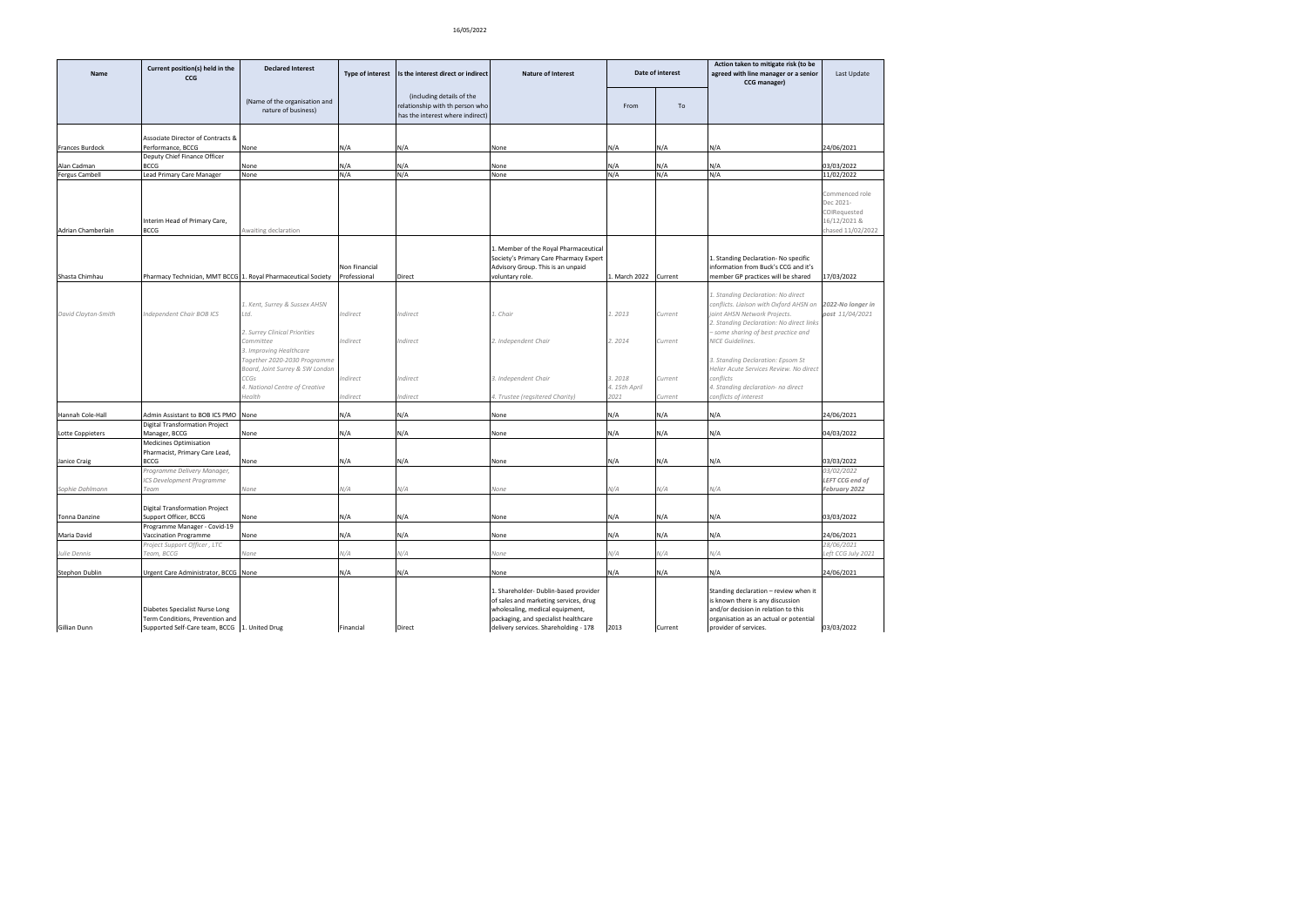| Name                | Current position(s) held in the<br><b>CCG</b>                                                                      | <b>Declared Interest</b>                                                                                | Type of interest              | Is the interest direct or indirect                                                               | <b>Nature of Interest</b>                                                                                                                                                                          |                                 | Date of interest   | Action taken to mitigate risk (to be<br>agreed with line manager or a senior<br>CCG manager)                                                                                                    | Last Update                                                                      |
|---------------------|--------------------------------------------------------------------------------------------------------------------|---------------------------------------------------------------------------------------------------------|-------------------------------|--------------------------------------------------------------------------------------------------|----------------------------------------------------------------------------------------------------------------------------------------------------------------------------------------------------|---------------------------------|--------------------|-------------------------------------------------------------------------------------------------------------------------------------------------------------------------------------------------|----------------------------------------------------------------------------------|
|                     |                                                                                                                    | (Name of the organisation and<br>nature of business)                                                    |                               | (including details of the<br>relationship with th person who<br>has the interest where indirect) |                                                                                                                                                                                                    | From                            | To                 |                                                                                                                                                                                                 |                                                                                  |
|                     | Associate Director of Contracts &                                                                                  |                                                                                                         |                               |                                                                                                  |                                                                                                                                                                                                    |                                 |                    |                                                                                                                                                                                                 |                                                                                  |
| Frances Burdock     | Performance, BCCG                                                                                                  | None                                                                                                    | N/A                           | N/A                                                                                              | None                                                                                                                                                                                               | N/A                             | N/A                | N/A                                                                                                                                                                                             | 24/06/2021                                                                       |
|                     | Deputy Chief Finance Officer                                                                                       |                                                                                                         |                               |                                                                                                  |                                                                                                                                                                                                    |                                 |                    |                                                                                                                                                                                                 |                                                                                  |
| Alan Cadman         | <b>BCCG</b>                                                                                                        | None                                                                                                    | N/A                           | N/A                                                                                              | None                                                                                                                                                                                               | N/A                             | N/A                | N/A                                                                                                                                                                                             | 03/03/2022                                                                       |
| ergus Cambell       | Lead Primary Care Manager                                                                                          | None                                                                                                    | N/A                           | N/A                                                                                              | None                                                                                                                                                                                               | N/A                             | N/A                | N/A                                                                                                                                                                                             | 11/02/2022                                                                       |
| Adrian Chamberlain  | Interim Head of Primary Care,<br>BCCG                                                                              | Awaiting declaration                                                                                    |                               |                                                                                                  |                                                                                                                                                                                                    |                                 |                    |                                                                                                                                                                                                 | Commenced role<br>Dec 2021-<br>COIRequested<br>16/12/2021 &<br>chased 11/02/2022 |
| Shasta Chimhau      | Pharmacy Technician, MMT BCCG 1. Royal Pharmaceutical Society                                                      |                                                                                                         | Non Financial<br>Professional | Direct                                                                                           | 1. Member of the Royal Pharmaceutical<br>Society's Primary Care Pharmacy Expert<br>Advisory Group. This is an unpaid<br>voluntary role.                                                            | 1. March 2022                   | Current            | 1. Standing Declaration- No specific<br>information from Buck's CCG and it's<br>member GP practices will be shared                                                                              | 17/03/2022                                                                       |
|                     |                                                                                                                    |                                                                                                         |                               |                                                                                                  |                                                                                                                                                                                                    |                                 |                    |                                                                                                                                                                                                 |                                                                                  |
| David Clayton-Smith | Independent Chair BOB ICS                                                                                          | 1. Kent, Surrey & Sussex AHSN<br>Ltd.<br>2. Surrey Clinical Priorities                                  | Indirect                      | Indirect                                                                                         | . Chair                                                                                                                                                                                            | 1.2013                          | Current            | 1. Standing Declaration: No direct<br>conflicts. Liaison with Oxford AHSN on<br>joint AHSN Network Projects.<br>2. Standing Declaration: No direct links<br>- some sharing of best practice and | 2022-No longer in<br>post 11/04/2021                                             |
|                     |                                                                                                                    | Committee<br>3. Improving Healthcare<br>Together 2020-2030 Programme<br>Board, Joint Surrey & SW London | Indirect                      | Indirect                                                                                         | 2. Independent Chair                                                                                                                                                                               | 2.2014                          | Current            | <b>NICE Guidelines.</b><br>3. Standing Declaration: Epsom St<br>Helier Acute Services Review. No direct                                                                                         |                                                                                  |
|                     |                                                                                                                    | CCGs<br>4. National Centre of Creative<br>Health                                                        | Indirect<br>Indirect          | Indirect<br>Indirect                                                                             | 3. Independent Chair<br>4. Trustee (regsitered Charity)                                                                                                                                            | 3.2018<br>4. 15th April<br>2021 | Current<br>Current | conflicts<br>4. Standing declaration- no direct<br>conflicts of interest                                                                                                                        |                                                                                  |
| Hannah Cole-Hall    | Admin Assistant to BOB ICS PMO                                                                                     | None                                                                                                    | N/A                           | N/A                                                                                              | None                                                                                                                                                                                               | N/A                             | N/A                | N/A                                                                                                                                                                                             | 24/06/2021                                                                       |
|                     | <b>Digital Transformation Project</b>                                                                              |                                                                                                         |                               |                                                                                                  |                                                                                                                                                                                                    |                                 |                    |                                                                                                                                                                                                 |                                                                                  |
| Lotte Coppieters    | Manager, BCCG                                                                                                      | None                                                                                                    | N/A                           | N/A                                                                                              | None                                                                                                                                                                                               | N/A                             | N/A                | N/A                                                                                                                                                                                             | 04/03/2022                                                                       |
|                     | Medicines Optimisation                                                                                             |                                                                                                         |                               |                                                                                                  |                                                                                                                                                                                                    |                                 |                    |                                                                                                                                                                                                 |                                                                                  |
| Janice Craig        | Pharmacist, Primary Care Lead,<br>BCCG                                                                             | None                                                                                                    | N/A                           | N/A                                                                                              | None                                                                                                                                                                                               | N/A                             | N/A                | N/A                                                                                                                                                                                             | 03/03/2022                                                                       |
|                     | Programme Delivery Manager,                                                                                        |                                                                                                         |                               |                                                                                                  |                                                                                                                                                                                                    |                                 |                    |                                                                                                                                                                                                 | 03/02/2022                                                                       |
|                     | CS Development Programme                                                                                           |                                                                                                         |                               |                                                                                                  |                                                                                                                                                                                                    |                                 |                    |                                                                                                                                                                                                 | LEFT CCG end of                                                                  |
| Sophie Dahlmann     | Team                                                                                                               | None                                                                                                    | N/A                           | N/A                                                                                              | None                                                                                                                                                                                               | N/A                             | N/A                | N/A                                                                                                                                                                                             | February 2022                                                                    |
|                     |                                                                                                                    |                                                                                                         |                               |                                                                                                  |                                                                                                                                                                                                    |                                 |                    |                                                                                                                                                                                                 |                                                                                  |
|                     | Digital Transformation Project                                                                                     |                                                                                                         |                               |                                                                                                  |                                                                                                                                                                                                    |                                 |                    |                                                                                                                                                                                                 | 03/03/2022                                                                       |
| Tonna Danzine       | Support Officer, BCCG<br>Programme Manager - Covid-19                                                              | None                                                                                                    | N/A                           | N/A                                                                                              | None                                                                                                                                                                                               | N/A                             | N/A                | N/A                                                                                                                                                                                             |                                                                                  |
| Maria David         | Vaccination Programme                                                                                              | None                                                                                                    | N/A                           | N/A                                                                                              | None                                                                                                                                                                                               | N/A                             | N/A                | N/A                                                                                                                                                                                             | 24/06/2021                                                                       |
|                     | Project Support Officer, LTC                                                                                       |                                                                                                         |                               |                                                                                                  |                                                                                                                                                                                                    |                                 |                    |                                                                                                                                                                                                 | 28/06/2021                                                                       |
| ulie Dennis         | Team, BCCG                                                                                                         | None                                                                                                    | N/A                           | N/A                                                                                              | None                                                                                                                                                                                               | N/A                             | N/A                | N/A                                                                                                                                                                                             | Left CCG July 2021                                                               |
| Stephon Dublin      | Urgent Care Administrator, BCCG None                                                                               |                                                                                                         | N/A                           | N/A                                                                                              | None                                                                                                                                                                                               | N/A                             | N/A                | N/A                                                                                                                                                                                             | 24/06/2021                                                                       |
| Gillian Dunn        | Diabetes Specialist Nurse Long<br>Term Conditions, Prevention and<br>Supported Self-Care team, BCCG 1. United Drug |                                                                                                         | Financial                     | Direct                                                                                           | 1. Shareholder- Dublin-based provider<br>of sales and marketing services, drug<br>wholesaling, medical equipment,<br>packaging, and specialist healthcare<br>delivery services. Shareholding - 178 | 2013                            | Current            | Standing declaration - review when it<br>is known there is any discussion<br>and/or decision in relation to this<br>organisation as an actual or potential<br>provider of services.             | 03/03/2022                                                                       |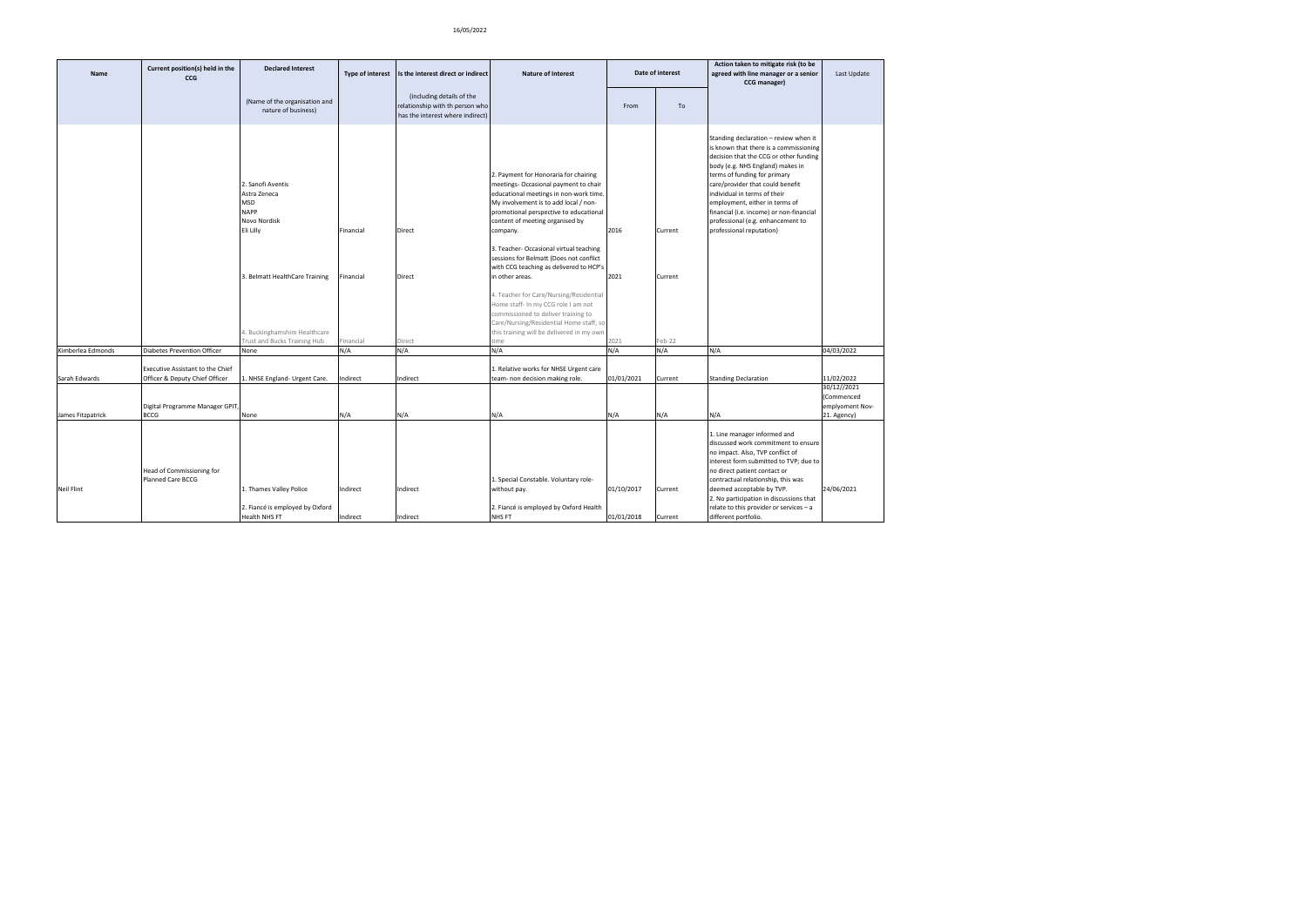| Name              | Current position(s) held in the<br><b>CCG</b>                      | <b>Declared Interest</b>                                                                    | <b>Type of interest</b> | Is the interest direct or indirect                                                               | <b>Nature of Interest</b>                                                                                                                                                                                                                                  |                          | Date of interest   | Action taken to mitigate risk (to be<br>agreed with line manager or a senior<br>CCG manager)                                                                                                                                                                                                                                                                                                                     | Last Update                                                 |
|-------------------|--------------------------------------------------------------------|---------------------------------------------------------------------------------------------|-------------------------|--------------------------------------------------------------------------------------------------|------------------------------------------------------------------------------------------------------------------------------------------------------------------------------------------------------------------------------------------------------------|--------------------------|--------------------|------------------------------------------------------------------------------------------------------------------------------------------------------------------------------------------------------------------------------------------------------------------------------------------------------------------------------------------------------------------------------------------------------------------|-------------------------------------------------------------|
|                   |                                                                    | (Name of the organisation and<br>nature of business)                                        |                         | (including details of the<br>relationship with th person who<br>has the interest where indirect) |                                                                                                                                                                                                                                                            | From                     | To                 |                                                                                                                                                                                                                                                                                                                                                                                                                  |                                                             |
|                   |                                                                    | 2. Sanofi Aventis<br>Astra Zeneca<br><b>MSD</b><br><b>NAPP</b><br>Novo Nordisk<br>Eli Lilly | Financial               | Direct                                                                                           | 2. Payment for Honoraria for chairing<br>meetings- Occasional payment to chair<br>educational meetings in non-work time.<br>My involvement is to add local / non-<br>promotional perspective to educational<br>content of meeting organised by<br>company. | 2016                     | Current            | Standing declaration - review when it<br>is known that there is a commissioning<br>decision that the CCG or other funding<br>body (e.g. NHS England) makes in<br>terms of funding for primary<br>care/provider that could benefit<br>individual in terms of their<br>employment, either in terms of<br>financial (i.e. income) or non-financial<br>professional (e.g. enhancement to<br>professional reputation) |                                                             |
|                   |                                                                    | 3. Belmatt HealthCare Training                                                              | Financial               | Direct                                                                                           | 3. Teacher- Occasional virtual teaching<br>sessions for Belmatt (Does not conflict<br>with CCG teaching as delivered to HCP's<br>in other areas.                                                                                                           | 2021                     | Current            |                                                                                                                                                                                                                                                                                                                                                                                                                  |                                                             |
|                   |                                                                    | 4. Buckinghamshire Healthcare<br><b>Trust and Bucks Training Hub</b>                        | Financial               | Direct                                                                                           | 4. Teacher for Care/Nursing/Residential<br>Home staff- In my CCG role I am not<br>commissioned to deliver training to<br>Care/Nursing/Residential Home staff, so<br>this training will be delivered in my own<br>me                                        | 2021                     | eb-22              |                                                                                                                                                                                                                                                                                                                                                                                                                  |                                                             |
| Kimberlea Edmonds | <b>Diabetes Prevention Officer</b>                                 | None                                                                                        | N/A                     | N/A                                                                                              | N/A                                                                                                                                                                                                                                                        | N/A                      | N/A                | N/A                                                                                                                                                                                                                                                                                                                                                                                                              | 04/03/2022                                                  |
| Sarah Edwards     | Executive Assistant to the Chief<br>Officer & Deputy Chief Officer | 1. NHSE England- Urgent Care.                                                               | Indirect                | Indirect                                                                                         | 1. Relative works for NHSE Urgent care<br>team- non decision making role.                                                                                                                                                                                  | 01/01/2021               | Current            | <b>Standing Declaration</b>                                                                                                                                                                                                                                                                                                                                                                                      | 11/02/2022                                                  |
| James Fitzpatrick | Digital Programme Manager GPIT,<br><b>BCCG</b>                     | None                                                                                        | N/A                     | N/A                                                                                              | N/A                                                                                                                                                                                                                                                        | N/A                      | N/A                | N/A                                                                                                                                                                                                                                                                                                                                                                                                              | 30/12//2021<br>(Commenced<br>emplyoment Nov-<br>21. Agency) |
| <b>Neil Flint</b> | Head of Commissioning for<br>Planned Care BCCG                     | 1. Thames Valley Police<br>2. Fiancé is employed by Oxford<br>Health NHS FT                 | Indirect<br>Indirect    | Indirect<br>Indirect                                                                             | 1. Special Constable. Voluntary role-<br>without pay.<br>2. Fiancé is employed by Oxford Health<br>NHS FT                                                                                                                                                  | 01/10/2017<br>01/01/2018 | Current<br>Current | 1. Line manager informed and<br>discussed work commitment to ensure<br>no impact. Also, TVP conflict of<br>interest form submitted to TVP; due to<br>no direct patient contact or<br>contractual relationship, this was<br>deemed acceptable by TVP.<br>2. No participation in discussions that<br>relate to this provider or services - a<br>different portfolio.                                               | 24/06/2021                                                  |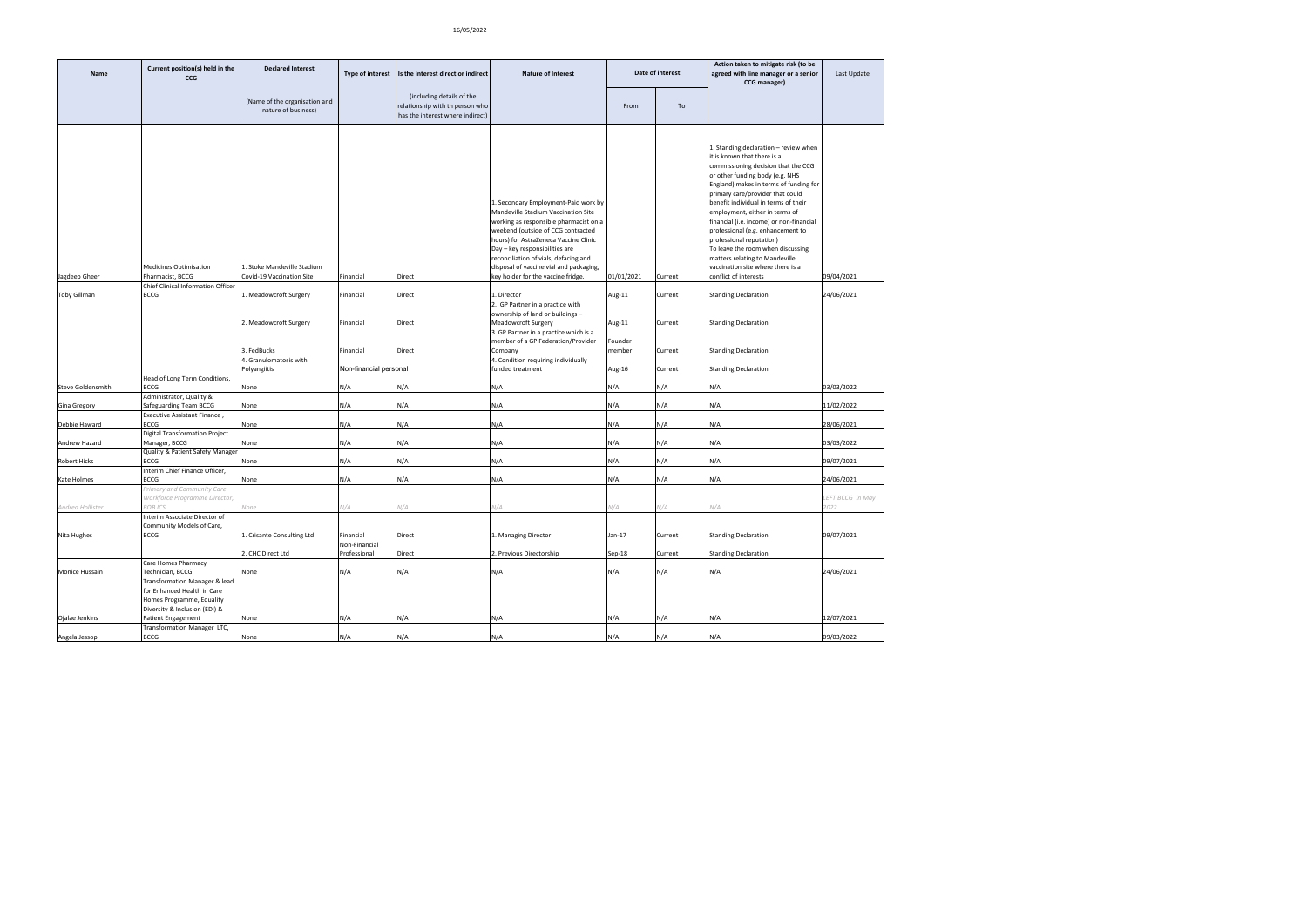| Name                | Current position(s) held in the<br><b>CCG</b>                                                                              | <b>Declared Interest</b>                                                                                  | Type of interest                                              | Is the interest direct or indirect                                                               | <b>Nature of Interest</b>                                                                                                                                                                                                                                                                                                                                     |                                                 | Date of interest                         | Action taken to mitigate risk (to be<br>agreed with line manager or a senior<br>CCG manager)                                                                                                                                                                                                                                                                                                                                                                                                                                                             | Last Update              |
|---------------------|----------------------------------------------------------------------------------------------------------------------------|-----------------------------------------------------------------------------------------------------------|---------------------------------------------------------------|--------------------------------------------------------------------------------------------------|---------------------------------------------------------------------------------------------------------------------------------------------------------------------------------------------------------------------------------------------------------------------------------------------------------------------------------------------------------------|-------------------------------------------------|------------------------------------------|----------------------------------------------------------------------------------------------------------------------------------------------------------------------------------------------------------------------------------------------------------------------------------------------------------------------------------------------------------------------------------------------------------------------------------------------------------------------------------------------------------------------------------------------------------|--------------------------|
|                     |                                                                                                                            | (Name of the organisation and<br>nature of business)                                                      |                                                               | (including details of the<br>relationship with th person who<br>has the interest where indirect) |                                                                                                                                                                                                                                                                                                                                                               | From                                            | To                                       |                                                                                                                                                                                                                                                                                                                                                                                                                                                                                                                                                          |                          |
| Jagdeep Gheer       | Medicines Optimisation<br>Pharmacist, BCCG<br>Chief Clinical Information Officer                                           | 1. Stoke Mandeville Stadium<br>Covid-19 Vaccination Site                                                  | Financial                                                     | Direct                                                                                           | Secondary Employment-Paid work by<br>Mandeville Stadium Vaccination Site<br>working as responsible pharmacist on a<br>weekend (outside of CCG contracted<br>hours) for AstraZeneca Vaccine Clinic<br>Day - key responsibilities are<br>reconciliation of vials, defacing and<br>disposal of vaccine vial and packaging,<br>key holder for the vaccine fridge. | 01/01/2021                                      | Current                                  | 1. Standing declaration - review when<br>it is known that there is a<br>commissioning decision that the CCG<br>or other funding body (e.g. NHS<br>England) makes in terms of funding for<br>primary care/provider that could<br>benefit individual in terms of their<br>employment, either in terms of<br>financial (i.e. income) or non-financial<br>professional (e.g. enhancement to<br>professional reputation)<br>To leave the room when discussing<br>matters relating to Mandeville<br>vaccination site where there is a<br>conflict of interests | 09/04/2021               |
| <b>Toby Gillman</b> | <b>BCCG</b>                                                                                                                | 1. Meadowcroft Surgery<br>2. Meadowcroft Surgery<br>3. FedBucks<br>4. Granulomatosis with<br>Polyangiitis | Financial<br>Financial<br>Financial<br>Non-financial personal | Direct<br>Direct<br>Direct                                                                       | 1. Director<br>2. GP Partner in a practice with<br>ownership of land or buildings -<br>Meadowcroft Surgery<br>3. GP Partner in a practice which is a<br>member of a GP Federation/Provider<br>Company<br>4. Condition requiring individually<br>funded treatment                                                                                              | Aug-11<br>Aug-11<br>Founder<br>member<br>Aug-16 | Current<br>Current<br>Current<br>Current | <b>Standing Declaration</b><br><b>Standing Declaration</b><br><b>Standing Declaration</b><br><b>Standing Declaration</b>                                                                                                                                                                                                                                                                                                                                                                                                                                 | 24/06/2021               |
| Steve Goldensmith   | Head of Long Term Conditions,<br><b>BCCG</b>                                                                               | None                                                                                                      | N/A                                                           | N/A                                                                                              | N/A                                                                                                                                                                                                                                                                                                                                                           | N/A                                             | N/A                                      | N/A                                                                                                                                                                                                                                                                                                                                                                                                                                                                                                                                                      | 03/03/2022               |
| <b>Gina Gregory</b> | Administrator, Quality &<br>Safeguarding Team BCCG                                                                         | None                                                                                                      | N/A                                                           | N/A                                                                                              | N/A                                                                                                                                                                                                                                                                                                                                                           | N/A                                             | N/A                                      | N/A                                                                                                                                                                                                                                                                                                                                                                                                                                                                                                                                                      | 11/02/2022               |
| Debbie Haward       | Executive Assistant Finance,<br><b>BCCG</b>                                                                                | None                                                                                                      | N/A                                                           | N/A                                                                                              | N/A                                                                                                                                                                                                                                                                                                                                                           | N/A                                             | N/A                                      | N/A                                                                                                                                                                                                                                                                                                                                                                                                                                                                                                                                                      | 28/06/2021               |
| Andrew Hazard       | <b>Digital Transformation Project</b><br>Manager, BCCG                                                                     | None                                                                                                      | N/A                                                           | N/A                                                                                              | N/A                                                                                                                                                                                                                                                                                                                                                           | N/A                                             | N/A                                      | N/A                                                                                                                                                                                                                                                                                                                                                                                                                                                                                                                                                      | 03/03/2022               |
| <b>Robert Hicks</b> | Quality & Patient Safety Manager<br><b>BCCG</b><br>Interim Chief Finance Officer,                                          | None                                                                                                      | N/A                                                           | N/A                                                                                              | N/A                                                                                                                                                                                                                                                                                                                                                           | N/A                                             | N/A                                      | N/A                                                                                                                                                                                                                                                                                                                                                                                                                                                                                                                                                      | 09/07/2021               |
| Kate Holmes         | <b>BCCG</b>                                                                                                                | None                                                                                                      | N/A                                                           | N/A                                                                                              | N/A                                                                                                                                                                                                                                                                                                                                                           | N/A                                             | N/A                                      | N/A                                                                                                                                                                                                                                                                                                                                                                                                                                                                                                                                                      | 24/06/2021               |
| Andrea Hollister    | Primary and Community Care<br>Workforce Programme Director,<br>BOB ICS                                                     | None                                                                                                      | V/A                                                           | N/A                                                                                              | I/A                                                                                                                                                                                                                                                                                                                                                           | I/A                                             | I/A                                      | V/A                                                                                                                                                                                                                                                                                                                                                                                                                                                                                                                                                      | LEFT BCCG in May<br>2022 |
| Nita Hughes         | Interim Associate Director of<br>Community Models of Care,<br><b>BCCG</b>                                                  | 1. Crisante Consulting Ltd<br>2. CHC Direct Ltd                                                           | Financial<br>Non-Financial<br>Professional                    | Direct<br>Direct                                                                                 | 1. Managing Director<br>2. Previous Directorship                                                                                                                                                                                                                                                                                                              | Jan-17<br>Sep-18                                | Current<br>Current                       | <b>Standing Declaration</b><br><b>Standing Declaration</b>                                                                                                                                                                                                                                                                                                                                                                                                                                                                                               | 09/07/2021               |
|                     | Care Homes Pharmacy<br>Technician, BCCG                                                                                    | None                                                                                                      |                                                               | N/A                                                                                              | N/A                                                                                                                                                                                                                                                                                                                                                           | N/A                                             | N/A                                      | N/A                                                                                                                                                                                                                                                                                                                                                                                                                                                                                                                                                      |                          |
| Monice Hussain      | Transformation Manager & lead<br>for Enhanced Health in Care<br>Homes Programme, Equality<br>Diversity & Inclusion (EDI) & |                                                                                                           | N/A                                                           |                                                                                                  |                                                                                                                                                                                                                                                                                                                                                               |                                                 |                                          |                                                                                                                                                                                                                                                                                                                                                                                                                                                                                                                                                          | 24/06/2021               |
| Ojalae Jenkins      | Patient Engagement<br>Transformation Manager LTC,                                                                          | None                                                                                                      | N/A                                                           | N/A                                                                                              | N/A                                                                                                                                                                                                                                                                                                                                                           | N/A                                             | N/A                                      | N/A                                                                                                                                                                                                                                                                                                                                                                                                                                                                                                                                                      | 12/07/2021               |
| Angela Jessop       | <b>BCCG</b>                                                                                                                | None                                                                                                      | N/A                                                           | N/A                                                                                              | N/A                                                                                                                                                                                                                                                                                                                                                           | N/A                                             | N/A                                      | N/A                                                                                                                                                                                                                                                                                                                                                                                                                                                                                                                                                      | 09/03/2022               |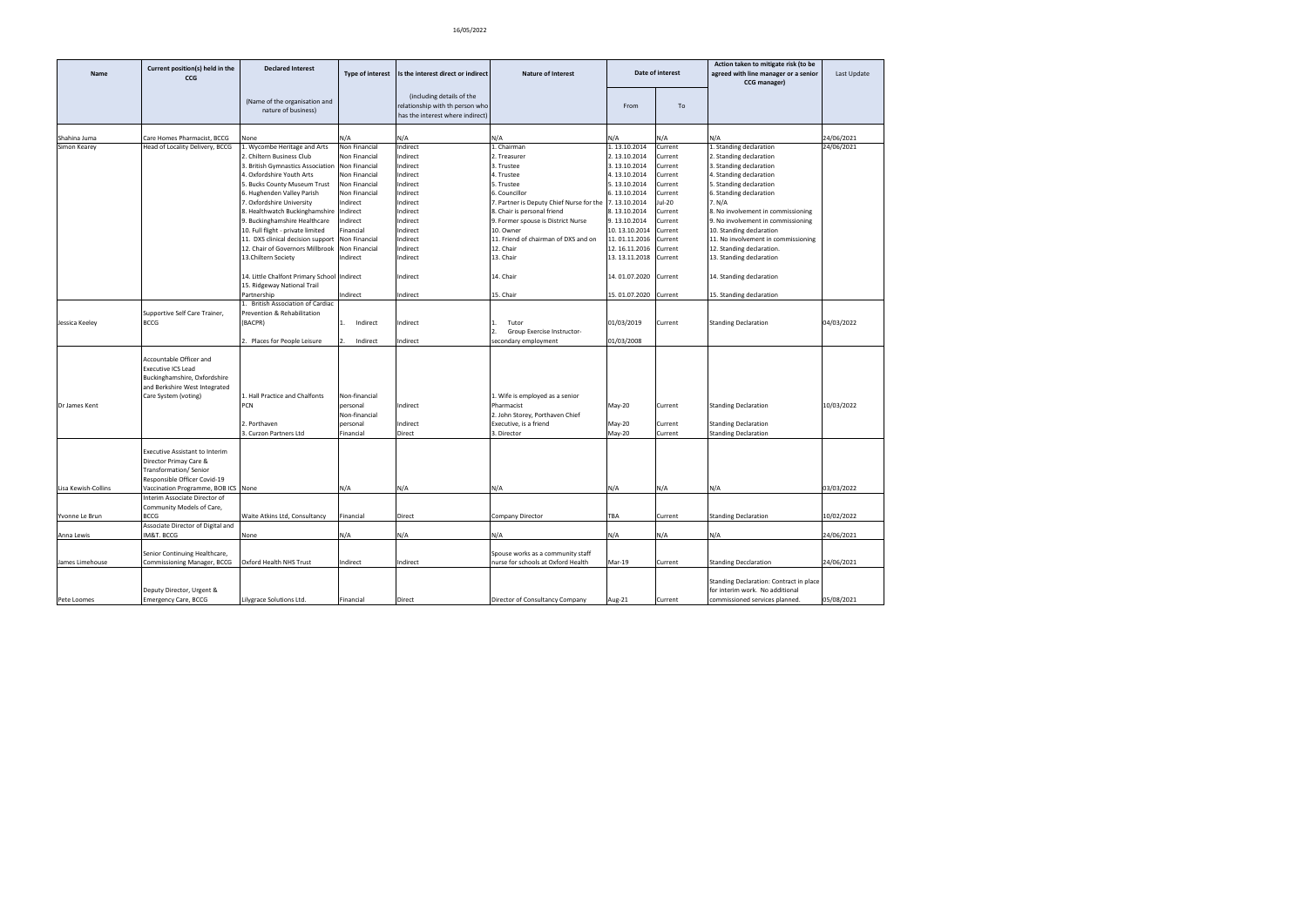| Name                | Current position(s) held in the<br><b>CCG</b>                                                                                                 | <b>Declared Interest</b>                                                   | <b>Type of interest</b> | Is the interest direct or indirect                                                               | <b>Nature of Interest</b>                |               | Date of interest | Action taken to mitigate risk (to be<br>agreed with line manager or a senior<br>CCG manager)                 | Last Update |
|---------------------|-----------------------------------------------------------------------------------------------------------------------------------------------|----------------------------------------------------------------------------|-------------------------|--------------------------------------------------------------------------------------------------|------------------------------------------|---------------|------------------|--------------------------------------------------------------------------------------------------------------|-------------|
|                     |                                                                                                                                               | (Name of the organisation and<br>nature of business)                       |                         | (including details of the<br>relationship with th person who<br>has the interest where indirect) |                                          | From          | To               |                                                                                                              |             |
| Shahina Juma        | Care Homes Pharmacist, BCCG                                                                                                                   | <b>None</b>                                                                | N/A                     | N/A                                                                                              | N/A                                      | ۷/A           | ۷/A              | N/A                                                                                                          | 24/06/2021  |
| Simon Kearey        | Head of Locality Delivery, BCCG                                                                                                               | Wycombe Heritage and Arts                                                  | Non Financial           | Indirect                                                                                         | L. Chairman                              | 1.13.10.2014  | Current          | L. Standing declaration                                                                                      | 24/06/2021  |
|                     |                                                                                                                                               | 2. Chiltern Business Club                                                  | Non Financial           | Indirect                                                                                         | 2. Treasurer                             | 2.13.10.2014  | Current          | 2. Standing declaration                                                                                      |             |
|                     |                                                                                                                                               | 3. British Gymnastics Association                                          | Non Financial           | Indirect                                                                                         | 3. Trustee                               | 3.13.10.2014  | Current          | 3. Standing declaration                                                                                      |             |
|                     |                                                                                                                                               | 4. Oxfordshire Youth Arts                                                  | Non Financial           | Indirect                                                                                         | 4. Trustee                               | 4.13.10.2014  | Current          | 4. Standing declaration                                                                                      |             |
|                     |                                                                                                                                               | 5. Bucks County Museum Trust                                               | Non Financial           | Indirect                                                                                         | 5. Trustee                               | 5.13.10.2014  | Current          | 5. Standing declaration                                                                                      |             |
|                     |                                                                                                                                               | 6. Hughenden Valley Parish                                                 | Non Financial           | Indirect                                                                                         | 6. Councillor                            | 6.13.10.2014  | Current          | 6. Standing declaration                                                                                      |             |
|                     |                                                                                                                                               | 7. Oxfordshire University                                                  | Indirect                | Indirect                                                                                         | 7. Partner is Deputy Chief Nurse for the | 7.13.10.2014  | lul-20           | 7. N/A                                                                                                       |             |
|                     |                                                                                                                                               | 8. Healthwatch Buckinghamshire                                             | Indirect                | Indirect                                                                                         | 8. Chair is personal friend              | 8.13.10.2014  | Current          | 8. No involvement in commissioning                                                                           |             |
|                     |                                                                                                                                               | 9. Buckinghamshire Healthcare                                              | Indirect                | Indirect                                                                                         | 9. Former spouse is District Nurse       | 9.13.10.2014  | Current          | 9. No involvement in commissioning                                                                           |             |
|                     |                                                                                                                                               | 10. Full flight - private limited                                          | Financial               | Indirect                                                                                         | 10. Owner                                | 10.13.10.2014 | Current          | 10. Standing declaration                                                                                     |             |
|                     |                                                                                                                                               | 11. DXS clinical decision support                                          | Non Financial           | Indirect                                                                                         | 11. Friend of chairman of DXS and on     | 11.01.11.2016 | Current          | 11. No involvement in commissioning                                                                          |             |
|                     |                                                                                                                                               | 12. Chair of Governors Millbrook                                           | Non Financial           | Indirect                                                                                         | 12. Chair                                | 12.16.11.2016 | Current          | 12. Standing declaration.                                                                                    |             |
|                     |                                                                                                                                               | 13.Chiltern Society                                                        | Indirect                | Indirect                                                                                         | 13. Chair                                | 13.13.11.2018 | Current          | 13. Standing declaration                                                                                     |             |
|                     |                                                                                                                                               |                                                                            |                         |                                                                                                  |                                          |               |                  |                                                                                                              |             |
|                     |                                                                                                                                               | 14. Little Chalfont Primary School Indirect<br>15. Ridgeway National Trail |                         | Indirect                                                                                         | 14. Chair                                | 14.01.07.2020 | Current          | 14. Standing declaration                                                                                     |             |
|                     |                                                                                                                                               | Partnership                                                                | Indirect                | Indirect                                                                                         | 15. Chair                                | 15.01.07.2020 | Current          | 15. Standing declaration                                                                                     |             |
|                     |                                                                                                                                               | 1. British Association of Cardiac                                          |                         |                                                                                                  |                                          |               |                  |                                                                                                              |             |
|                     | Supportive Self Care Trainer,                                                                                                                 | Prevention & Rehabilitation                                                |                         |                                                                                                  |                                          |               |                  |                                                                                                              |             |
| Jessica Keeley      | <b>BCCG</b>                                                                                                                                   | (BACPR)                                                                    | Indirect                | Indirect                                                                                         | Tutor                                    | 01/03/2019    | Current          | <b>Standing Declaration</b>                                                                                  | 04/03/2022  |
|                     |                                                                                                                                               |                                                                            |                         |                                                                                                  | Group Exercise Instructor-               |               |                  |                                                                                                              |             |
|                     |                                                                                                                                               | Places for People Leisure                                                  | Indirect                | ndirect                                                                                          | secondary employment                     | 01/03/2008    |                  |                                                                                                              |             |
|                     | Accountable Officer and<br><b>Executive ICS Lead</b><br>Buckinghamshire, Oxfordshire<br>and Berkshire West Integrated<br>Care System (voting) | 1. Hall Practice and Chalfonts                                             | Non-financial           |                                                                                                  | 1. Wife is employed as a senior          |               |                  |                                                                                                              |             |
| Dr James Kent       |                                                                                                                                               | PCN                                                                        | personal                | Indirect                                                                                         | Pharmacist                               | May-20        | Current          | <b>Standing Declaration</b>                                                                                  | 10/03/2022  |
|                     |                                                                                                                                               |                                                                            | Non-financial           |                                                                                                  | 2. John Storey, Porthaven Chief          |               |                  |                                                                                                              |             |
|                     |                                                                                                                                               | 2. Porthaven                                                               | personal                | Indirect                                                                                         | Executive, is a friend                   | May-20        | Current          | <b>Standing Declaration</b>                                                                                  |             |
|                     |                                                                                                                                               | 3. Curzon Partners Ltd                                                     | Financial               | Direct                                                                                           | 3. Director                              | May-20        | Current          | <b>Standing Declaration</b>                                                                                  |             |
|                     | Executive Assistant to Interim<br>Director Primay Care &<br>Transformation/Senior<br>Responsible Officer Covid-19                             |                                                                            |                         |                                                                                                  |                                          |               |                  |                                                                                                              |             |
| Lisa Kewish-Collins | Vaccination Programme, BOB ICS None                                                                                                           |                                                                            | N/A                     | N/A                                                                                              | N/A                                      | N/A           | N/A              | N/A                                                                                                          | 03/03/2022  |
|                     | Interim Associate Director of                                                                                                                 |                                                                            |                         |                                                                                                  |                                          |               |                  |                                                                                                              |             |
|                     | Community Models of Care,                                                                                                                     |                                                                            |                         |                                                                                                  |                                          |               |                  |                                                                                                              |             |
| Yvonne Le Brun      | BCCG                                                                                                                                          | Waite Atkins Ltd, Consultancy                                              | Financial               | Direct                                                                                           | Company Director                         | TBA           | Current          | <b>Standing Declaration</b>                                                                                  | 10/02/2022  |
|                     | Associate Director of Digital and                                                                                                             |                                                                            |                         |                                                                                                  |                                          |               |                  |                                                                                                              |             |
| Anna Lewis          | M&T. BCCG                                                                                                                                     | None                                                                       | N/A                     | N/A                                                                                              | N/A                                      | N/A           | N/A              | N/A                                                                                                          | 24/06/2021  |
|                     | Senior Continuing Healthcare,                                                                                                                 |                                                                            |                         |                                                                                                  | Spouse works as a community staff        |               |                  |                                                                                                              |             |
| James Limehouse     | Commissioning Manager, BCCG                                                                                                                   | Oxford Health NHS Trust                                                    | Indirect                | Indirect                                                                                         | nurse for schools at Oxford Health       | Mar-19        | Current          | <b>Standing Decclaration</b>                                                                                 | 24/06/2021  |
| Pete Loomes         | Deputy Director, Urgent &<br><b>Emergency Care, BCCG</b>                                                                                      | Lilygrace Solutions Ltd.                                                   | Financial               | Direct                                                                                           | Director of Consultancy Company          | Aug-21        | Current          | Standing Declaration: Contract in place<br>for interim work. No additional<br>commissioned services planned. | 05/08/2021  |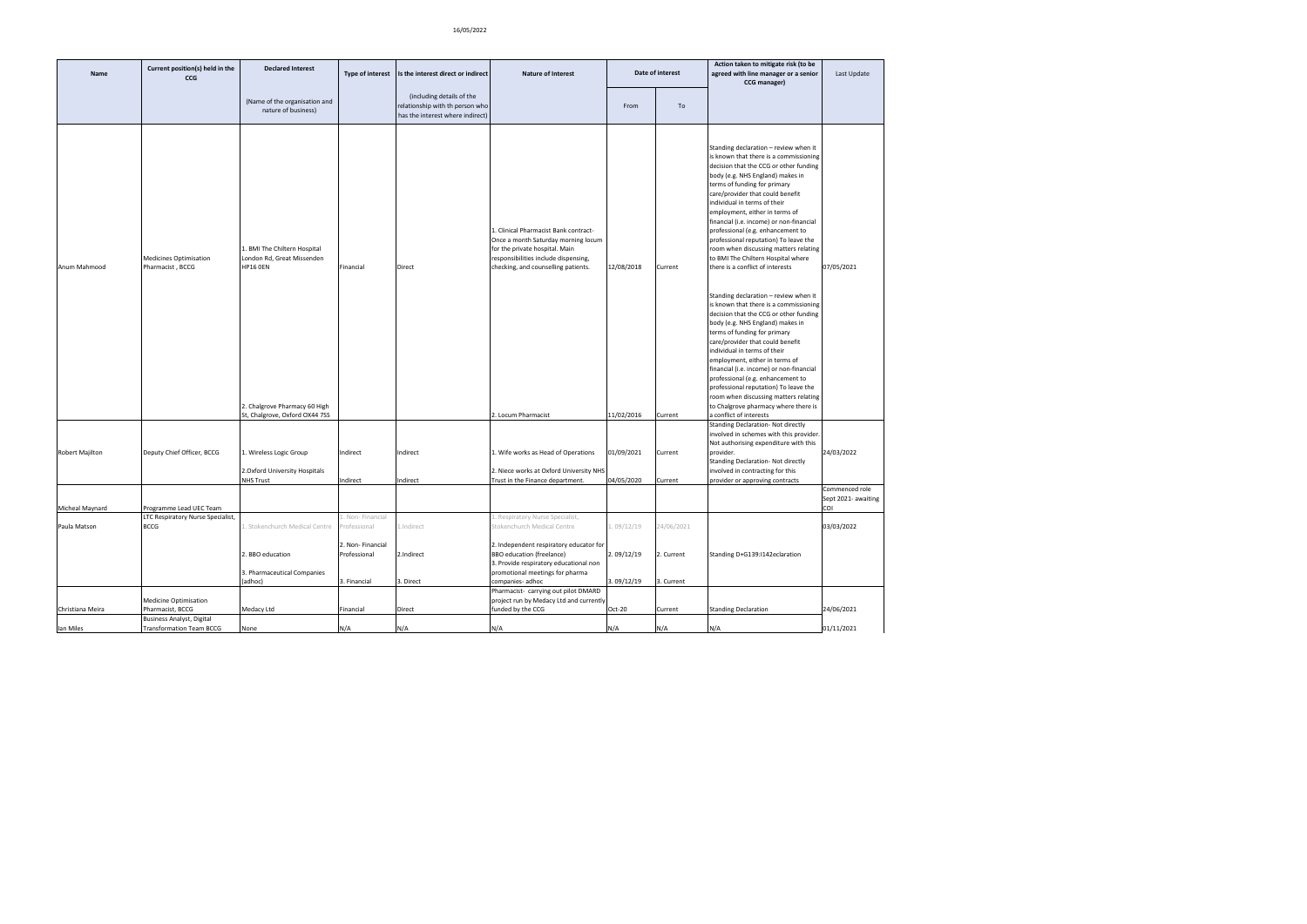| Name             | Current position(s) held in the<br><b>CCG</b>                | <b>Declared Interest</b>                                                                 | <b>Type of interest</b>                                                          | Is the interest direct or indirect                                                               | <b>Nature of Interest</b>                                                                                                                                                                                                                   |                                       | Date of interest                       | Action taken to mitigate risk (to be<br>agreed with line manager or a senior<br>CCG manager)                                                                                                                                                                                                                                                                                                                                                                                                                                                     | Last Update                                  |
|------------------|--------------------------------------------------------------|------------------------------------------------------------------------------------------|----------------------------------------------------------------------------------|--------------------------------------------------------------------------------------------------|---------------------------------------------------------------------------------------------------------------------------------------------------------------------------------------------------------------------------------------------|---------------------------------------|----------------------------------------|--------------------------------------------------------------------------------------------------------------------------------------------------------------------------------------------------------------------------------------------------------------------------------------------------------------------------------------------------------------------------------------------------------------------------------------------------------------------------------------------------------------------------------------------------|----------------------------------------------|
|                  |                                                              | (Name of the organisation and<br>nature of business)                                     |                                                                                  | (including details of the<br>relationship with th person who<br>has the interest where indirect) |                                                                                                                                                                                                                                             | From                                  | To                                     |                                                                                                                                                                                                                                                                                                                                                                                                                                                                                                                                                  |                                              |
| Anum Mahmood     | Medicines Optimisation<br>Pharmacist, BCCG                   | 1. BMI The Chiltern Hospital<br>London Rd, Great Missenden<br><b>HP16 0EN</b>            | Financial                                                                        | Direct                                                                                           | Clinical Pharmacist Bank contract-<br>Once a month Saturday morning locum<br>for the private hospital. Main<br>responsibilities include dispensing,<br>checking, and counselling patients.                                                  | 12/08/2018                            | Current                                | Standing declaration - review when it<br>is known that there is a commissioning<br>decision that the CCG or other funding<br>body (e.g. NHS England) makes in<br>terms of funding for primary<br>care/provider that could benefit<br>individual in terms of their<br>employment, either in terms of<br>financial (i.e. income) or non-financial<br>professional (e.g. enhancement to<br>professional reputation) To leave the<br>room when discussing matters relating<br>to BMI The Chiltern Hospital where<br>there is a conflict of interests | 07/05/2021                                   |
|                  |                                                              | 2. Chalgrove Pharmacy 60 High<br>St, Chalgrove, Oxford OX44 7SS                          |                                                                                  |                                                                                                  | . Locum Pharmacist                                                                                                                                                                                                                          | 11/02/2016                            | Current                                | Standing declaration - review when it<br>is known that there is a commissioning<br>decision that the CCG or other funding<br>body (e.g. NHS England) makes in<br>terms of funding for primary<br>care/provider that could benefit<br>individual in terms of their<br>employment, either in terms of<br>financial (i.e. income) or non-financial<br>professional (e.g. enhancement to<br>professional reputation) To leave the<br>room when discussing matters relating<br>to Chalgrove pharmacy where there is<br>a conflict of interests        |                                              |
| Robert Majilton  | Deputy Chief Officer, BCCG                                   | 1. Wireless Logic Group<br>2. Oxford University Hospitals<br><b>NHS Trust</b>            | Indirect<br>Indirect                                                             | Indirect<br>Indirect                                                                             | 1. Wife works as Head of Operations<br>2. Niece works at Oxford University NHS<br>Frust in the Finance department.                                                                                                                          | 01/09/2021<br>04/05/2020              | Current<br>Current                     | Standing Declaration- Not directly<br>involved in schemes with this provider.<br>Not authorising expenditure with this<br>provider.<br><b>Standing Declaration- Not directly</b><br>involved in contracting for this<br>provider or approving contracts                                                                                                                                                                                                                                                                                          | 24/03/2022                                   |
| Micheal Maynard  | Programme Lead UEC Team                                      |                                                                                          |                                                                                  |                                                                                                  |                                                                                                                                                                                                                                             |                                       |                                        |                                                                                                                                                                                                                                                                                                                                                                                                                                                                                                                                                  | Commenced role<br>Sept 2021- awaiting<br>COI |
| Paula Matson     | LTC Respiratory Nurse Specialist,<br><b>BCCG</b>             | Stokenchurch Medical Centre<br>2. BBO education<br>3. Pharmaceutical Companies<br>adhoc) | Non-Financial<br>rofessional<br>2. Non-Financial<br>Professional<br>3. Financial | L.Indirect<br>2.Indirect<br>3. Direct                                                            | Respiratory Nurse Specialist,<br>Stokenchurch Medical Centre<br>2. Independent respiratory educator for<br><b>BBO</b> education (freelance)<br>3. Provide respiratory educational non<br>promotional meetings for pharma<br>companies-adhoc | .09/12/19<br>2.09/12/19<br>3.09/12/19 | 24/06/2021<br>2. Current<br>3. Current | Standing D+G139:I142eclaration                                                                                                                                                                                                                                                                                                                                                                                                                                                                                                                   | 03/03/2022                                   |
| Christiana Meira | <b>Medicine Optimisation</b><br>Pharmacist, BCCG             | Medacy Ltd                                                                               | Financial                                                                        | Direct                                                                                           | Pharmacist- carrying out pilot DMARD<br>project run by Medacy Ltd and currently<br>funded by the CCG                                                                                                                                        | Oct-20                                | Current                                | <b>Standing Declaration</b>                                                                                                                                                                                                                                                                                                                                                                                                                                                                                                                      | 24/06/2021                                   |
| lan Miles        | Business Analyst, Digital<br><b>Transformation Team BCCG</b> | None                                                                                     | N/A                                                                              | N/A                                                                                              | N/A                                                                                                                                                                                                                                         | N/A                                   | N/A                                    | N/A                                                                                                                                                                                                                                                                                                                                                                                                                                                                                                                                              | 01/11/2021                                   |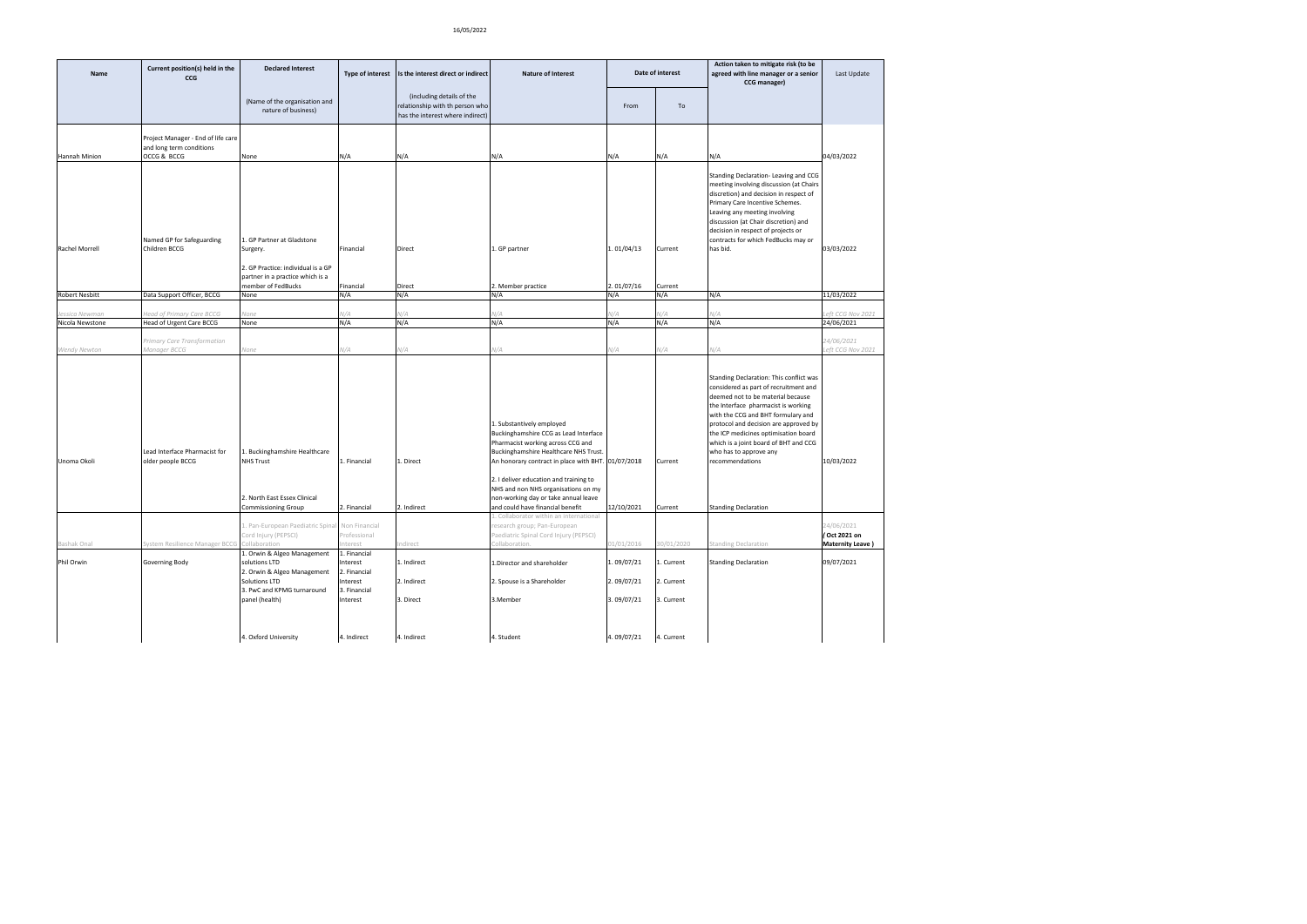| Name                             | Current position(s) held in the<br><b>CCG</b>         | <b>Declared Interest</b>                                                                                        | Type of interest                          | Is the interest direct or indirect                                                               | <b>Nature of Interest</b>                                                                                                                                                                                                                                                                                                                                           |            | Date of interest   | Action taken to mitigate risk (to be<br>agreed with line manager or a senior<br>CCG manager)                                                                                                                                                                                                                                                                                                             | Last Update                                            |
|----------------------------------|-------------------------------------------------------|-----------------------------------------------------------------------------------------------------------------|-------------------------------------------|--------------------------------------------------------------------------------------------------|---------------------------------------------------------------------------------------------------------------------------------------------------------------------------------------------------------------------------------------------------------------------------------------------------------------------------------------------------------------------|------------|--------------------|----------------------------------------------------------------------------------------------------------------------------------------------------------------------------------------------------------------------------------------------------------------------------------------------------------------------------------------------------------------------------------------------------------|--------------------------------------------------------|
|                                  |                                                       | (Name of the organisation and<br>nature of business)                                                            |                                           | (including details of the<br>relationship with th person who<br>has the interest where indirect) |                                                                                                                                                                                                                                                                                                                                                                     | From       | To                 |                                                                                                                                                                                                                                                                                                                                                                                                          |                                                        |
|                                  | Project Manager - End of life care                    |                                                                                                                 |                                           |                                                                                                  |                                                                                                                                                                                                                                                                                                                                                                     |            |                    |                                                                                                                                                                                                                                                                                                                                                                                                          |                                                        |
| Hannah Minion                    | and long term conditions<br>OCCG & BCCG               | None                                                                                                            | N/A                                       | N/A                                                                                              | N/A                                                                                                                                                                                                                                                                                                                                                                 | N/A        | N/A                | N/A                                                                                                                                                                                                                                                                                                                                                                                                      | 04/03/2022                                             |
| Rachel Morrell                   | Named GP for Safeguarding<br>Children BCCG            | 1. GP Partner at Gladstone<br>Surgery.                                                                          | Financial                                 | Direct                                                                                           | 1. GP partner                                                                                                                                                                                                                                                                                                                                                       | 1.01/04/13 | Current            | Standing Declaration-Leaving and CCG<br>meeting involving discussion (at Chairs<br>discretion) and decision in respect of<br>Primary Care Incentive Schemes.<br>Leaving any meeting involving<br>discussion (at Chair discretion) and<br>decision in respect of projects or<br>contracts for which FedBucks may or<br>has bid.                                                                           | 03/03/2022                                             |
|                                  |                                                       | 2. GP Practice: individual is a GP                                                                              |                                           |                                                                                                  |                                                                                                                                                                                                                                                                                                                                                                     |            |                    |                                                                                                                                                                                                                                                                                                                                                                                                          |                                                        |
|                                  |                                                       | partner in a practice which is a<br>member of FedBucks                                                          | Financial                                 | Direct                                                                                           | 2. Member practice                                                                                                                                                                                                                                                                                                                                                  | 2.01/07/16 | Current            |                                                                                                                                                                                                                                                                                                                                                                                                          |                                                        |
| <b>Robert Nesbitt</b>            | Data Support Officer, BCCG                            | None                                                                                                            | N/A                                       | N/A                                                                                              | N/A                                                                                                                                                                                                                                                                                                                                                                 | N/A        | N/A                | N/A                                                                                                                                                                                                                                                                                                                                                                                                      | 11/03/2022                                             |
|                                  |                                                       |                                                                                                                 | V/A                                       | N/A                                                                                              |                                                                                                                                                                                                                                                                                                                                                                     |            |                    |                                                                                                                                                                                                                                                                                                                                                                                                          |                                                        |
| sssica Newman<br>Nicola Newstone | Head of Primary Care BCCG<br>Head of Urgent Care BCCG | Vone<br>None                                                                                                    | N/A                                       | N/A                                                                                              | V/A<br>N/A                                                                                                                                                                                                                                                                                                                                                          | V/A<br>N/A | V/A<br>N/A         | V/A<br>N/A                                                                                                                                                                                                                                                                                                                                                                                               | eft CCG Nov 2021<br>24/06/2021                         |
|                                  |                                                       |                                                                                                                 |                                           |                                                                                                  |                                                                                                                                                                                                                                                                                                                                                                     |            |                    |                                                                                                                                                                                                                                                                                                                                                                                                          |                                                        |
|                                  | Primary Care Transformation                           |                                                                                                                 |                                           |                                                                                                  |                                                                                                                                                                                                                                                                                                                                                                     |            |                    |                                                                                                                                                                                                                                                                                                                                                                                                          | 24/06/2021                                             |
| Wendy Newton                     | Manager BCCG                                          | None                                                                                                            | V/A                                       | N/A                                                                                              | V/A                                                                                                                                                                                                                                                                                                                                                                 | V/A        | V/A                | V/A                                                                                                                                                                                                                                                                                                                                                                                                      | eft CCG Nov 2021                                       |
| Unoma Okoli                      | Lead Interface Pharmacist for<br>older people BCCG    | 1. Buckinghamshire Healthcare<br><b>NHS Trust</b><br>2. North East Essex Clinical<br><b>Commissioning Group</b> | 1. Financial<br>2. Financial              | 1. Direct<br>2. Indirect                                                                         | 1. Substantively employed<br>Buckinghamshire CCG as Lead Interface<br>Pharmacist working across CCG and<br>Buckinghamshire Healthcare NHS Trust.<br>An honorary contract in place with BHT. 01/07/2018<br>2. I deliver education and training to<br>NHS and non NHS organisations on my<br>non-working day or take annual leave<br>and could have financial benefit | 12/10/2021 | Current<br>Current | Standing Declaration: This conflict was<br>considered as part of recruitment and<br>deemed not to be material because<br>the Interface pharmacist is working<br>with the CCG and BHT formulary and<br>protocol and decision are approved by<br>the ICP medicines optimisation board<br>which is a joint board of BHT and CCG<br>who has to approve any<br>recommendations<br><b>Standing Declaration</b> | 10/03/2022                                             |
|                                  |                                                       |                                                                                                                 |                                           |                                                                                                  | 1. Collaborator within an international                                                                                                                                                                                                                                                                                                                             |            |                    |                                                                                                                                                                                                                                                                                                                                                                                                          |                                                        |
| Bashak Onal                      | System Resilience Manager BCCG                        | 1. Pan-European Paediatric Spina<br>Cord Injury (PEPSCI)<br>Collaboration                                       | Non Financial<br>Professional<br>Interest | Indirect                                                                                         | research group; Pan-European<br>Paediatric Spinal Cord Injury (PEPSCI)<br>Collaboration.                                                                                                                                                                                                                                                                            | 01/01/2016 | 30/01/2020         | Standing Declaration                                                                                                                                                                                                                                                                                                                                                                                     | 24/06/2021<br>(Oct 2021 on<br><b>Maternity Leave</b> ) |
|                                  |                                                       | 1. Orwin & Algeo Management                                                                                     | 1. Financial                              |                                                                                                  |                                                                                                                                                                                                                                                                                                                                                                     |            |                    |                                                                                                                                                                                                                                                                                                                                                                                                          |                                                        |
| Phil Orwin                       | Governing Body                                        | solutions LTD<br>2. Orwin & Algeo Management                                                                    | Interest<br>2. Financial                  | 1. Indirect                                                                                      | 1.Director and shareholder                                                                                                                                                                                                                                                                                                                                          | 1.09/07/21 | 1. Current         | <b>Standing Declaration</b>                                                                                                                                                                                                                                                                                                                                                                              | 09/07/2021                                             |
|                                  |                                                       | Solutions LTD<br>3. PwC and KPMG turnaround                                                                     | Interest<br>3. Financial                  | 2. Indirect                                                                                      | 2. Spouse is a Shareholder                                                                                                                                                                                                                                                                                                                                          | 2.09/07/21 | 2. Current         |                                                                                                                                                                                                                                                                                                                                                                                                          |                                                        |
|                                  |                                                       | panel (health)                                                                                                  | Interest                                  | 3. Direct                                                                                        | 3.Member                                                                                                                                                                                                                                                                                                                                                            | 3.09/07/21 | 3. Current         |                                                                                                                                                                                                                                                                                                                                                                                                          |                                                        |
|                                  |                                                       | 4. Oxford University                                                                                            | 4. Indirect                               | 4. Indirect                                                                                      | 4. Student                                                                                                                                                                                                                                                                                                                                                          | 4.09/07/21 | 4. Current         |                                                                                                                                                                                                                                                                                                                                                                                                          |                                                        |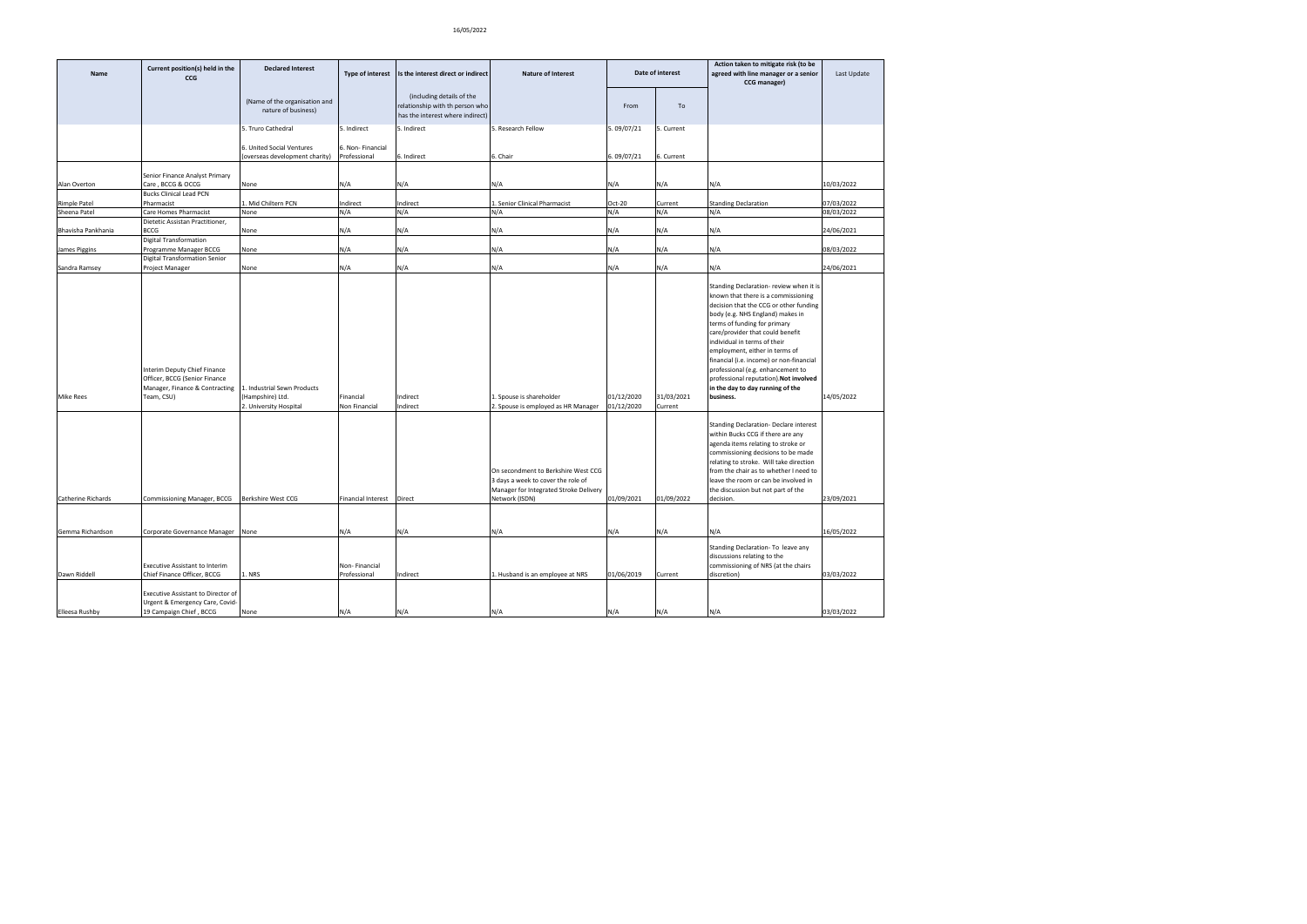| Name               | Current position(s) held in the<br>CCG                                                                                                      | <b>Declared Interest</b>                                   | <b>Type of interest</b>          | Is the interest direct or indirect                                                               | <b>Nature of Interest</b>                                                                                                             |                          | Date of interest      | Action taken to mitigate risk (to be<br>agreed with line manager or a senior<br>CCG manager)                                                                                                                                                                                                                                                                                                                                                                                   | Last Update |
|--------------------|---------------------------------------------------------------------------------------------------------------------------------------------|------------------------------------------------------------|----------------------------------|--------------------------------------------------------------------------------------------------|---------------------------------------------------------------------------------------------------------------------------------------|--------------------------|-----------------------|--------------------------------------------------------------------------------------------------------------------------------------------------------------------------------------------------------------------------------------------------------------------------------------------------------------------------------------------------------------------------------------------------------------------------------------------------------------------------------|-------------|
|                    |                                                                                                                                             | (Name of the organisation and<br>nature of business)       |                                  | (including details of the<br>relationship with th person who<br>has the interest where indirect) |                                                                                                                                       | From                     | To                    |                                                                                                                                                                                                                                                                                                                                                                                                                                                                                |             |
|                    |                                                                                                                                             | 5. Truro Cathedral                                         | 5. Indirect                      | 5. Indirect                                                                                      | 5. Research Fellow                                                                                                                    | 5.09/07/21               | 5. Current            |                                                                                                                                                                                                                                                                                                                                                                                                                                                                                |             |
|                    |                                                                                                                                             | 6. United Social Ventures<br>overseas development charity) | 6. Non-Financial<br>Professional | 5. Indirect                                                                                      | 5. Chair                                                                                                                              | 6.09/07/21               | 6. Current            |                                                                                                                                                                                                                                                                                                                                                                                                                                                                                |             |
|                    | Senior Finance Analyst Primary                                                                                                              |                                                            |                                  |                                                                                                  |                                                                                                                                       |                          |                       |                                                                                                                                                                                                                                                                                                                                                                                                                                                                                |             |
| Alan Overton       | Care, BCCG & OCCG<br><b>Bucks Clinical Lead PCN</b>                                                                                         | None                                                       | N/A                              | N/A                                                                                              | N/A                                                                                                                                   | N/A                      | N/A                   | N/A                                                                                                                                                                                                                                                                                                                                                                                                                                                                            | 10/03/2022  |
| Rimple Patel       | Pharmacist                                                                                                                                  | Mid Chiltern PCN                                           | Indirect                         | Indirect                                                                                         | Senior Clinical Pharmacist                                                                                                            | Oct-20                   | Current               | <b>Standing Declaration</b>                                                                                                                                                                                                                                                                                                                                                                                                                                                    | 07/03/2022  |
| Sheena Patel       | Care Homes Pharmacist                                                                                                                       | None                                                       | N/A                              | N/A                                                                                              | N/A                                                                                                                                   | N/A                      | N/A                   | N/A                                                                                                                                                                                                                                                                                                                                                                                                                                                                            | 08/03/2022  |
| Bhavisha Pankhania | Dietetic Assistan Practitioner,<br>BCCG                                                                                                     | None                                                       | N/A                              | N/A                                                                                              | N/A                                                                                                                                   | N/A                      | N/A                   | N/A                                                                                                                                                                                                                                                                                                                                                                                                                                                                            | 24/06/2021  |
| James Piggins      | <b>Digital Transformation</b><br>Programme Manager BCCG                                                                                     | None                                                       | N/A                              | N/A                                                                                              | N/A                                                                                                                                   | N/A                      | N/A                   | N/A                                                                                                                                                                                                                                                                                                                                                                                                                                                                            | 08/03/2022  |
| Sandra Ramsey      | <b>Digital Transformation Senior</b><br>Project Manager                                                                                     | None                                                       | N/A                              | N/A                                                                                              | N/A                                                                                                                                   | N/A                      | N/A                   | N/A                                                                                                                                                                                                                                                                                                                                                                                                                                                                            | 24/06/2021  |
| <b>Mike Rees</b>   | Interim Deputy Chief Finance<br>Officer, BCCG (Senior Finance<br>Manager, Finance & Contracting   1. Industrial Sewn Products<br>Team, CSU) | (Hampshire) Ltd.<br>2. University Hospital                 | Financial<br>Non Financial       | Indirect<br>Indirect                                                                             | 1. Spouse is shareholder<br>2. Spouse is employed as HR Manager                                                                       | 01/12/2020<br>01/12/2020 | 31/03/2021<br>Current | Standing Declaration- review when it is<br>known that there is a commissioning<br>decision that the CCG or other funding<br>body (e.g. NHS England) makes in<br>terms of funding for primary<br>care/provider that could benefit<br>individual in terms of their<br>employment, either in terms of<br>financial (i.e. income) or non-financial<br>professional (e.g. enhancement to<br>professional reputation). Not involved<br>in the day to day running of the<br>business. | 14/05/2022  |
| Catherine Richards | Commissioning Manager, BCCG                                                                                                                 | Berkshire West CCG                                         | <b>Financial Interest</b>        | Direct                                                                                           | On secondment to Berkshire West CCG<br>3 days a week to cover the role of<br>Manager for Integrated Stroke Delivery<br>Network (ISDN) | 01/09/2021               | 01/09/2022            | <b>Standing Declaration- Declare interest</b><br>within Bucks CCG if there are any<br>agenda items relating to stroke or<br>commissioning decisions to be made<br>relating to stroke. Will take direction<br>from the chair as to whether I need to<br>leave the room or can be involved in<br>the discussion but not part of the<br>decision.                                                                                                                                 | 23/09/2021  |
| Gemma Richardson   | Corporate Governance Manager None                                                                                                           |                                                            | N/A                              | N/A                                                                                              | N/A                                                                                                                                   | N/A                      | N/A                   | N/A                                                                                                                                                                                                                                                                                                                                                                                                                                                                            | 16/05/2022  |
| Dawn Riddell       | <b>Executive Assistant to Interim</b><br>Chief Finance Officer, BCCG                                                                        | L. NRS                                                     | Non-Financial<br>Professional    | Indirect                                                                                         | Husband is an employee at NRS                                                                                                         | 01/06/2019               | Current               | Standing Declaration- To leave any<br>discussions relating to the<br>commissioning of NRS (at the chairs<br>discretion)                                                                                                                                                                                                                                                                                                                                                        | 03/03/2022  |
|                    | Executive Assistant to Director of                                                                                                          |                                                            |                                  |                                                                                                  |                                                                                                                                       |                          |                       |                                                                                                                                                                                                                                                                                                                                                                                                                                                                                |             |
| Elleesa Rushby     | Urgent & Emergency Care, Covid-<br>19 Campaign Chief, BCCG                                                                                  | None                                                       | N/A                              | N/A                                                                                              | N/A                                                                                                                                   | N/A                      | N/A                   | N/A                                                                                                                                                                                                                                                                                                                                                                                                                                                                            | 03/03/2022  |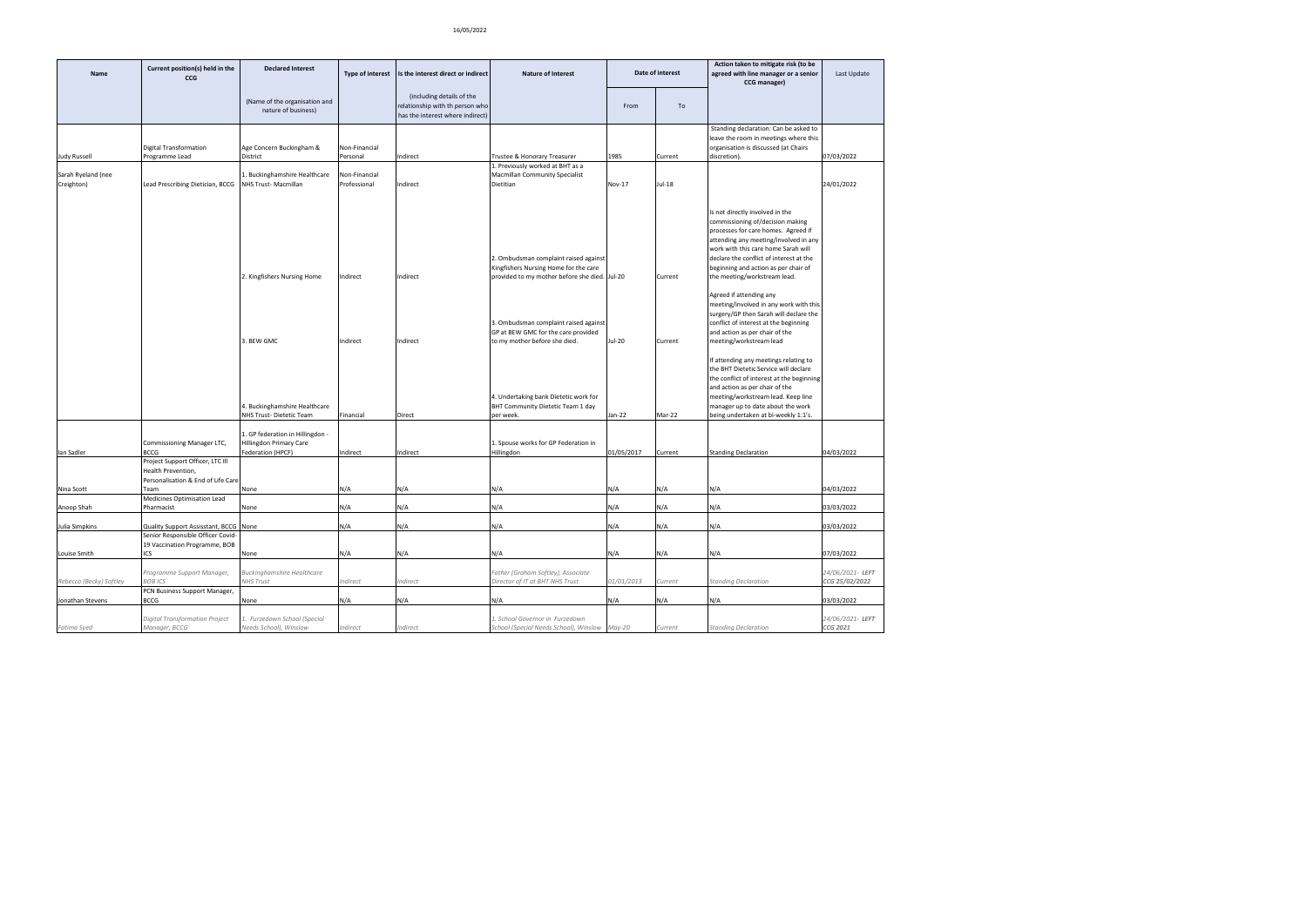|                         | Current position(s) held in the                                                              | <b>Declared Interest</b>                                                   |                      |                                                                                                  |                                                                                                                                                                                                                                                                                                                                |               | Date of interest   | Action taken to mitigate risk (to be                                                                                                                                                                                                                                                                                                                                                                                                                                                                                                                                                                                                                                                                                                                                           |                             |
|-------------------------|----------------------------------------------------------------------------------------------|----------------------------------------------------------------------------|----------------------|--------------------------------------------------------------------------------------------------|--------------------------------------------------------------------------------------------------------------------------------------------------------------------------------------------------------------------------------------------------------------------------------------------------------------------------------|---------------|--------------------|--------------------------------------------------------------------------------------------------------------------------------------------------------------------------------------------------------------------------------------------------------------------------------------------------------------------------------------------------------------------------------------------------------------------------------------------------------------------------------------------------------------------------------------------------------------------------------------------------------------------------------------------------------------------------------------------------------------------------------------------------------------------------------|-----------------------------|
| <b>Name</b>             | CCG                                                                                          |                                                                            | Type of interest     | Is the interest direct or indirect                                                               | <b>Nature of Interest</b>                                                                                                                                                                                                                                                                                                      |               |                    | agreed with line manager or a senior<br>CCG manager)                                                                                                                                                                                                                                                                                                                                                                                                                                                                                                                                                                                                                                                                                                                           | Last Update                 |
|                         |                                                                                              | (Name of the organisation and<br>nature of business)                       |                      | (including details of the<br>relationship with th person who<br>has the interest where indirect) |                                                                                                                                                                                                                                                                                                                                | From          | To                 |                                                                                                                                                                                                                                                                                                                                                                                                                                                                                                                                                                                                                                                                                                                                                                                |                             |
|                         |                                                                                              |                                                                            |                      |                                                                                                  |                                                                                                                                                                                                                                                                                                                                |               |                    | Standing declaration: Can be asked to<br>leave the room in meetings where this                                                                                                                                                                                                                                                                                                                                                                                                                                                                                                                                                                                                                                                                                                 |                             |
|                         | <b>Digital Transformation</b>                                                                | Age Concern Buckingham &                                                   | Non-Financial        |                                                                                                  |                                                                                                                                                                                                                                                                                                                                |               |                    | organisation is discussed (at Chairs                                                                                                                                                                                                                                                                                                                                                                                                                                                                                                                                                                                                                                                                                                                                           |                             |
| <b>Judy Russell</b>     | Programme Lead                                                                               | District                                                                   | Personal             | Indirect                                                                                         | Trustee & Honorary Treasurer                                                                                                                                                                                                                                                                                                   | 1985          | Current            | discretion).                                                                                                                                                                                                                                                                                                                                                                                                                                                                                                                                                                                                                                                                                                                                                                   | 07/03/2022                  |
| Sarah Ryeland (nee      |                                                                                              | 1. Buckinghamshire Healthcare                                              | Non-Financial        |                                                                                                  | 1. Previously worked at BHT as a<br>Macmillan Community Specialist                                                                                                                                                                                                                                                             |               |                    |                                                                                                                                                                                                                                                                                                                                                                                                                                                                                                                                                                                                                                                                                                                                                                                |                             |
| Creighton)              | Lead Prescribing Dietician, BCCG                                                             | NHS Trust- Macmillan                                                       | Professional         | Indirect                                                                                         | Dietitian                                                                                                                                                                                                                                                                                                                      | <b>Nov-17</b> | Jul-18             |                                                                                                                                                                                                                                                                                                                                                                                                                                                                                                                                                                                                                                                                                                                                                                                | 24/01/2022                  |
|                         |                                                                                              |                                                                            |                      |                                                                                                  |                                                                                                                                                                                                                                                                                                                                |               |                    |                                                                                                                                                                                                                                                                                                                                                                                                                                                                                                                                                                                                                                                                                                                                                                                |                             |
|                         |                                                                                              | 2. Kingfishers Nursing Home<br>3. BEW GMC<br>4. Buckinghamshire Healthcare | Indirect<br>Indirect | Indirect<br>Indirect                                                                             | 2. Ombudsman complaint raised against<br>Kingfishers Nursing Home for the care<br>provided to my mother before she died. Jul-20<br>3. Ombudsman complaint raised against<br>GP at BEW GMC for the care provided<br>to my mother before she died.<br>4. Undertaking bank Dietetic work for<br>BHT Community Dietetic Team 1 day | Jul-20        | Current<br>Current | Is not directly involved in the<br>commissioning of/decision making<br>processes for care homes. Agreed if<br>attending any meeting/involved in any<br>work with this care home Sarah will<br>declare the conflict of interest at the<br>beginning and action as per chair of<br>the meeting/workstream lead.<br>Agreed if attending any<br>meeting/involved in any work with this<br>surgery/GP then Sarah will declare the<br>conflict of interest at the beginning<br>and action as per chair of the<br>meeting/workstream lead<br>If attending any meetings relating to<br>the BHT Dietetic Service will declare<br>the conflict of interest at the beginning<br>and action as per chair of the<br>meeting/workstream lead. Keep line<br>manager up to date about the work |                             |
|                         |                                                                                              | NHS Trust-Dietetic Team                                                    | Financial            | Direct                                                                                           | per week.                                                                                                                                                                                                                                                                                                                      | Jan-22        | Mar-22             | being undertaken at bi-weekly 1:1's.                                                                                                                                                                                                                                                                                                                                                                                                                                                                                                                                                                                                                                                                                                                                           |                             |
|                         | Commissioning Manager LTC,                                                                   | 1. GP federation in Hillingdon -<br>Hillingdon Primary Care                |                      |                                                                                                  | 1. Spouse works for GP Federation in                                                                                                                                                                                                                                                                                           |               |                    |                                                                                                                                                                                                                                                                                                                                                                                                                                                                                                                                                                                                                                                                                                                                                                                |                             |
| lan Sadler              | <b>BCCG</b>                                                                                  | Federation (HPCF)                                                          | Indirect             | Indirect                                                                                         | Hillingdon                                                                                                                                                                                                                                                                                                                     | 01/05/2017    | Current            | <b>Standing Declaration</b>                                                                                                                                                                                                                                                                                                                                                                                                                                                                                                                                                                                                                                                                                                                                                    | 04/03/2022                  |
|                         | Project Support Officer, LTC III<br>Health Prevention,<br>Personalisation & End of Life Care |                                                                            |                      |                                                                                                  |                                                                                                                                                                                                                                                                                                                                |               |                    |                                                                                                                                                                                                                                                                                                                                                                                                                                                                                                                                                                                                                                                                                                                                                                                |                             |
| Nina Scott              | Team<br>Medicines Optimisation Lead                                                          | None                                                                       | N/A                  | N/A                                                                                              | N/A                                                                                                                                                                                                                                                                                                                            | N/A           | N/A                | N/A                                                                                                                                                                                                                                                                                                                                                                                                                                                                                                                                                                                                                                                                                                                                                                            | 04/03/2022                  |
| Anoop Shah              | Pharmacist                                                                                   | None                                                                       | N/A                  | N/A                                                                                              | N/A                                                                                                                                                                                                                                                                                                                            | N/A           | N/A                | N/A                                                                                                                                                                                                                                                                                                                                                                                                                                                                                                                                                                                                                                                                                                                                                                            | 03/03/2022                  |
| Julia Simpkins          | Quality Support Assisstant, BCCG None                                                        |                                                                            | N/A                  | N/A                                                                                              | N/A                                                                                                                                                                                                                                                                                                                            | N/A           | N/A                | N/A                                                                                                                                                                                                                                                                                                                                                                                                                                                                                                                                                                                                                                                                                                                                                                            | 03/03/2022                  |
|                         | Senior Responsible Officer Covid-                                                            |                                                                            |                      |                                                                                                  |                                                                                                                                                                                                                                                                                                                                |               |                    |                                                                                                                                                                                                                                                                                                                                                                                                                                                                                                                                                                                                                                                                                                                                                                                |                             |
|                         | 19 Vaccination Programme, BOB                                                                |                                                                            |                      |                                                                                                  |                                                                                                                                                                                                                                                                                                                                |               |                    |                                                                                                                                                                                                                                                                                                                                                                                                                                                                                                                                                                                                                                                                                                                                                                                |                             |
| Louise Smith            | ICS                                                                                          | None                                                                       | N/A                  | N/A                                                                                              | N/A                                                                                                                                                                                                                                                                                                                            | N/A           | N/A                | N/A                                                                                                                                                                                                                                                                                                                                                                                                                                                                                                                                                                                                                                                                                                                                                                            | 07/03/2022                  |
|                         | Programme Support Manager,                                                                   | <b>Buckinghamshire Healthcare</b>                                          |                      |                                                                                                  | Father (Graham Softley), Associate                                                                                                                                                                                                                                                                                             |               |                    |                                                                                                                                                                                                                                                                                                                                                                                                                                                                                                                                                                                                                                                                                                                                                                                | 24/06/2021-LEFT             |
| Rebecca (Becky) Softley | <b>BOB ICS</b><br>PCN Business Support Manager,                                              | <b>NHS Trust</b>                                                           | Indirect             | ndirect                                                                                          | Director of IT at BHT NHS Trust                                                                                                                                                                                                                                                                                                | 01/01/2013    | Current            | <b>Standing Declaration</b>                                                                                                                                                                                                                                                                                                                                                                                                                                                                                                                                                                                                                                                                                                                                                    | CCG 25/02/2022              |
| Jonathan Stevens        | <b>BCCG</b>                                                                                  | None                                                                       | N/A                  | N/A                                                                                              | N/A                                                                                                                                                                                                                                                                                                                            | N/A           | N/A                | N/A                                                                                                                                                                                                                                                                                                                                                                                                                                                                                                                                                                                                                                                                                                                                                                            | 03/03/2022                  |
|                         |                                                                                              |                                                                            |                      |                                                                                                  |                                                                                                                                                                                                                                                                                                                                |               |                    |                                                                                                                                                                                                                                                                                                                                                                                                                                                                                                                                                                                                                                                                                                                                                                                |                             |
| Fatima Syed             | <b>Digital Transformation Project</b><br>Manager, BCCG                                       | 1. Furzedown School (Special<br>Needs School), Winslow                     | Indirect             | Indirect                                                                                         | 1. School Governor in Furzedown<br>School (Special Needs School), Winslow May-20                                                                                                                                                                                                                                               |               | Current            | <b>Standing Declaration</b>                                                                                                                                                                                                                                                                                                                                                                                                                                                                                                                                                                                                                                                                                                                                                    | 24/06/2021-LEFT<br>CCG 2021 |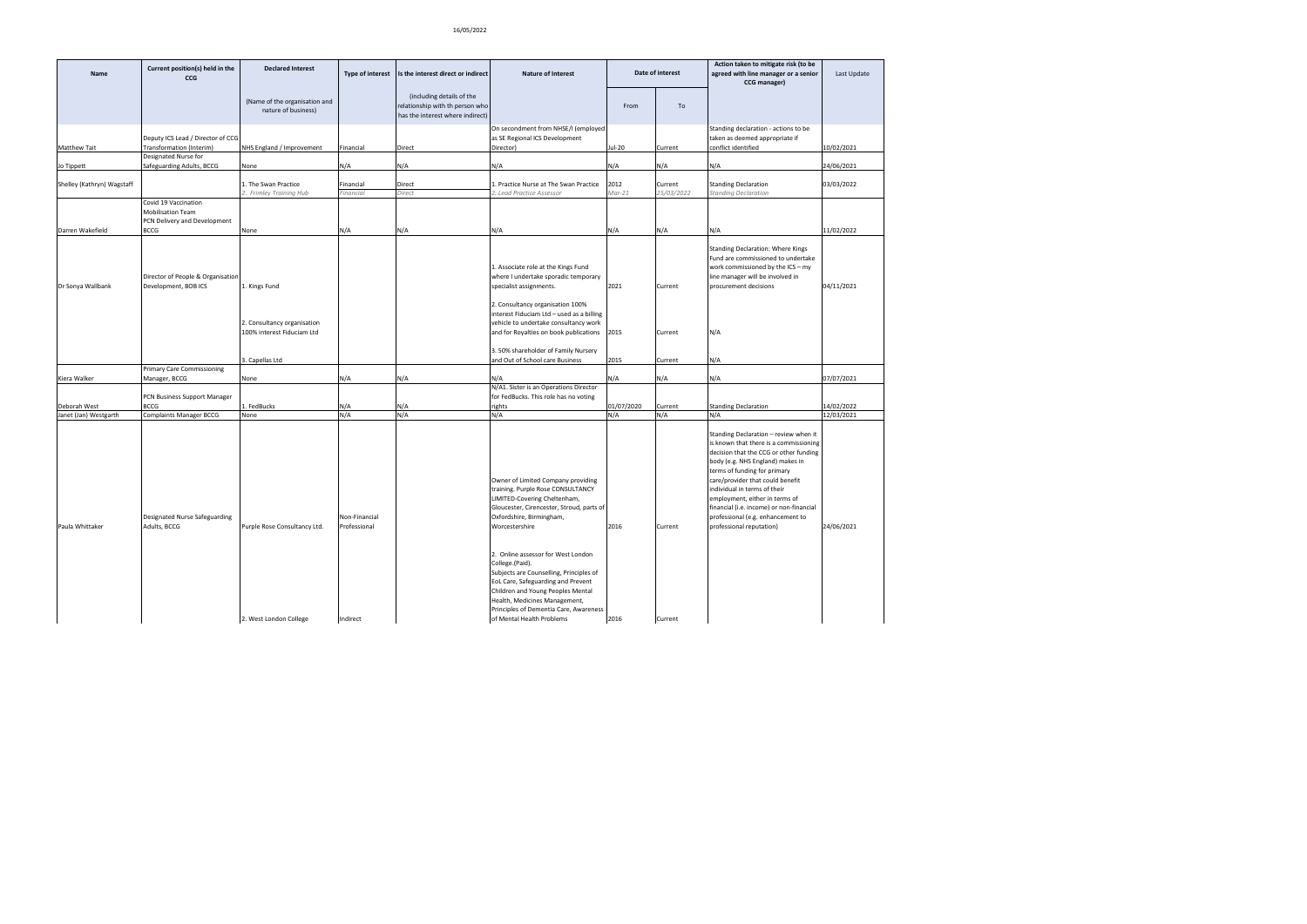| Name                       | Current position(s) held in the<br>CCG                                                   | <b>Declared Interest</b>                                                   | Type of interest              | Is the interest direct or indirect                                                               | <b>Nature of Interest</b>                                                                                                                                                                                                                                                           | Date of interest        |                       | Action taken to mitigate risk (to be<br>agreed with line manager or a senior<br>CCG manager)                                                                                                                                                                                                                                                                                                                     | Last Update |
|----------------------------|------------------------------------------------------------------------------------------|----------------------------------------------------------------------------|-------------------------------|--------------------------------------------------------------------------------------------------|-------------------------------------------------------------------------------------------------------------------------------------------------------------------------------------------------------------------------------------------------------------------------------------|-------------------------|-----------------------|------------------------------------------------------------------------------------------------------------------------------------------------------------------------------------------------------------------------------------------------------------------------------------------------------------------------------------------------------------------------------------------------------------------|-------------|
|                            |                                                                                          | (Name of the organisation and<br>nature of business)                       |                               | (including details of the<br>relationship with th person who<br>has the interest where indirect) |                                                                                                                                                                                                                                                                                     | From                    | To                    |                                                                                                                                                                                                                                                                                                                                                                                                                  |             |
| Matthew Tait               | Deputy ICS Lead / Director of CCG<br>Transformation (Interim)                            | NHS England / Improvement                                                  | Financial                     | Direct                                                                                           | On secondment from NHSE/I (employed<br>as SE Regional ICS Development<br>Director)                                                                                                                                                                                                  | Jul-20                  | Current               | Standing declaration - actions to be<br>taken as deemed appropriate if<br>conflict identified                                                                                                                                                                                                                                                                                                                    | 10/02/2021  |
| Jo Tippett                 | Designated Nurse for<br>Safeguarding Adults, BCCG                                        | None                                                                       | N/A                           | N/A                                                                                              | N/A                                                                                                                                                                                                                                                                                 | N/A                     | N/A                   | N/A                                                                                                                                                                                                                                                                                                                                                                                                              | 24/06/2021  |
| Shelley (Kathryn) Wagstaff |                                                                                          | 1. The Swan Practice<br>2. Frimley Training Hub                            | Financial<br>inancial         | Direct<br>Direct                                                                                 | 1. Practice Nurse at The Swan Practice<br>Lead Practice Assessor                                                                                                                                                                                                                    | 2012<br>$\text{Mar-}21$ | Current<br>25/03/2022 | <b>Standing Declaration</b><br>Standing Declaration                                                                                                                                                                                                                                                                                                                                                              | 03/03/2022  |
| Darren Wakefield           | Covid 19 Vaccination<br><b>Mobilisation Team</b><br>PCN Delivery and Development<br>BCCG | None                                                                       | N/A                           | N/A                                                                                              | N/A                                                                                                                                                                                                                                                                                 | N/A                     | N/A                   | N/A                                                                                                                                                                                                                                                                                                                                                                                                              | 11/02/2022  |
| Dr Sonya Wallbank          | Director of People & Organisation<br>Development, BOB ICS                                | 1. Kings Fund<br>2. Consultancy organisation<br>100% interest Fiduciam Ltd |                               |                                                                                                  | 1. Associate role at the Kings Fund<br>where I undertake sporadic temporary<br>specialist assignments.<br>2. Consultancy organisation 100%<br>interest Fiduciam Ltd - used as a billing<br>vehicle to undertake consultancy work<br>and for Royalties on book publications          | 2021<br>2015            | Current<br>Current    | Standing Declaration: Where Kings<br>Fund are commissioned to undertake<br>work commissioned by the ICS - my<br>line manager will be involved in<br>procurement decisions<br>N/A                                                                                                                                                                                                                                 | 04/11/2021  |
|                            |                                                                                          | . Capellas Ltd                                                             |                               |                                                                                                  | 3.50% shareholder of Family Nursery<br>and Out of School care Business                                                                                                                                                                                                              | 2015                    | Current               | N/A                                                                                                                                                                                                                                                                                                                                                                                                              |             |
| Kiera Walker               | <b>Primary Care Commissioning</b><br>Manager, BCCG                                       | None                                                                       | N/A                           | N/A                                                                                              | N/A                                                                                                                                                                                                                                                                                 | N/A                     | N/A                   | N/A                                                                                                                                                                                                                                                                                                                                                                                                              | 07/07/2021  |
| Deborah West               | PCN Business Support Manager<br><b>BCCG</b>                                              | FedBucks                                                                   | N/A                           | N/A                                                                                              | N/A1. Sister is an Operations Director<br>for FedBucks. This role has no voting<br>rights                                                                                                                                                                                           | 01/07/2020              | Current               | <b>Standing Declaration</b>                                                                                                                                                                                                                                                                                                                                                                                      | 14/02/2022  |
| Janet (Jan) Westgarth      | <b>Complaints Manager BCCG</b>                                                           | None                                                                       | N/A                           | N/A                                                                                              | N/A                                                                                                                                                                                                                                                                                 | N/A                     | N/A                   | N/A                                                                                                                                                                                                                                                                                                                                                                                                              | 12/03/2021  |
| Paula Whittaker            | Designated Nurse Safeguarding<br>Adults, BCCG                                            | Purple Rose Consultancy Ltd.                                               | Non-Financial<br>Professional |                                                                                                  | Owner of Limited Company providing<br>training. Purple Rose CONSULTANCY<br>LIMITED-Covering Cheltenham,<br>Gloucester, Cirencester, Stroud, parts of<br>Oxfordshire, Birmingham,<br>Worcestershire                                                                                  | 2016                    | Current               | Standing Declaration - review when it<br>is known that there is a commissioning<br>decision that the CCG or other funding<br>body (e.g. NHS England) makes in<br>terms of funding for primary<br>care/provider that could benefit<br>individual in terms of their<br>employment, either in terms of<br>financial (i.e. income) or non-financial<br>professional (e.g. enhancement to<br>professional reputation) | 24/06/2021  |
|                            |                                                                                          | 2. West London College                                                     | Indirect                      |                                                                                                  | 2. Online assessor for West London<br>College.(Paid).<br>Subjects are Counselling, Principles of<br>EoL Care, Safeguarding and Prevent<br>Children and Young Peoples Mental<br>Health, Medicines Management,<br>Principles of Dementia Care, Awareness<br>of Mental Health Problems | 2016                    | Current               |                                                                                                                                                                                                                                                                                                                                                                                                                  |             |